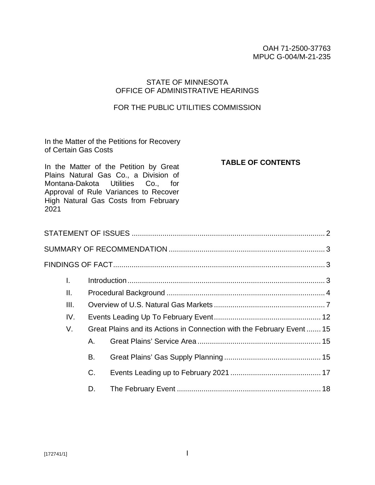#### OAH 71-2500-37763 MPUC G-004/M-21-235

### STATE OF MINNESOTA OFFICE OF ADMINISTRATIVE HEARINGS

#### FOR THE PUBLIC UTILITIES COMMISSION

In the Matter of the Petitions for Recovery of Certain Gas Costs

**TABLE OF CONTENTS**

In the Matter of the Petition by Great Plains Natural Gas Co., a Division of Montana-Dakota Utilities Co., for Approval of Rule Variances to Recover High Natural Gas Costs from February 2021

| А. |  |                                                                        |  |  |
|----|--|------------------------------------------------------------------------|--|--|
| В. |  |                                                                        |  |  |
| C. |  |                                                                        |  |  |
| D. |  |                                                                        |  |  |
|    |  | Great Plains and its Actions in Connection with the February Event  15 |  |  |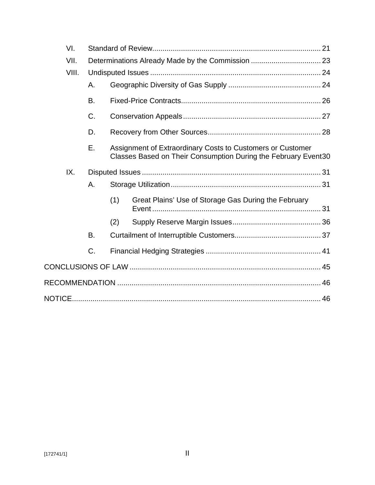|    | VI.   |    |     |                                                                                                                              |  |
|----|-------|----|-----|------------------------------------------------------------------------------------------------------------------------------|--|
|    | VII.  |    |     |                                                                                                                              |  |
|    | VIII. |    |     |                                                                                                                              |  |
| Α. |       |    |     |                                                                                                                              |  |
|    |       | Β. |     |                                                                                                                              |  |
|    |       | C. |     |                                                                                                                              |  |
|    |       | D. |     |                                                                                                                              |  |
|    |       | Е. |     | Assignment of Extraordinary Costs to Customers or Customer<br>Classes Based on Their Consumption During the February Event30 |  |
|    | IX.   |    |     |                                                                                                                              |  |
|    |       | Α. |     |                                                                                                                              |  |
|    |       |    | (1) | Great Plains' Use of Storage Gas During the February                                                                         |  |
|    |       |    | (2) |                                                                                                                              |  |
|    |       | В. |     |                                                                                                                              |  |
|    |       | C. |     |                                                                                                                              |  |
|    |       |    |     |                                                                                                                              |  |
|    |       |    |     |                                                                                                                              |  |
|    |       |    |     |                                                                                                                              |  |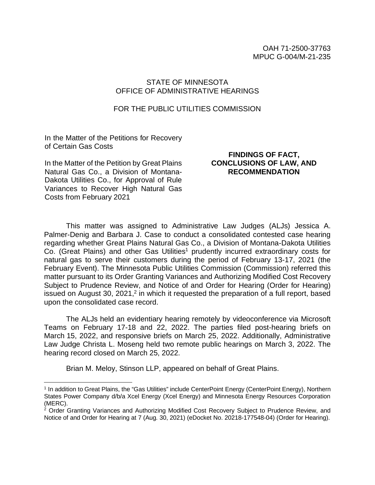### STATE OF MINNESOTA OFFICE OF ADMINISTRATIVE HEARINGS

#### FOR THE PUBLIC UTILITIES COMMISSION

In the Matter of the Petitions for Recovery of Certain Gas Costs

In the Matter of the Petition by Great Plains Natural Gas Co., a Division of Montana-Dakota Utilities Co., for Approval of Rule Variances to Recover High Natural Gas Costs from February 2021

### **FINDINGS OF FACT, CONCLUSIONS OF LAW, AND RECOMMENDATION**

This matter was assigned to Administrative Law Judges (ALJs) Jessica A. Palmer-Denig and Barbara J. Case to conduct a consolidated contested case hearing regarding whether Great Plains Natural Gas Co., a Division of Montana-Dakota Utilities Co. (Great Plains) and other Gas Utilities<sup>1</sup> prudently incurred extraordinary costs for natural gas to serve their customers during the period of February 13-17, 2021 (the February Event). The Minnesota Public Utilities Commission (Commission) referred this matter pursuant to its Order Granting Variances and Authorizing Modified Cost Recovery Subject to Prudence Review, and Notice of and Order for Hearing (Order for Hearing) issued on August 30, 2021,<sup>2</sup> in which it requested the preparation of a full report, based upon the consolidated case record.

The ALJs held an evidentiary hearing remotely by videoconference via Microsoft Teams on February 17-18 and 22, 2022. The parties filed post-hearing briefs on March 15, 2022, and responsive briefs on March 25, 2022. Additionally, Administrative Law Judge Christa L. Moseng held two remote public hearings on March 3, 2022. The hearing record closed on March 25, 2022.

Brian M. Meloy, Stinson LLP, appeared on behalf of Great Plains.

<sup>&</sup>lt;sup>1</sup> In addition to Great Plains, the "Gas Utilities" include CenterPoint Energy (CenterPoint Energy), Northern States Power Company d/b/a Xcel Energy (Xcel Energy) and Minnesota Energy Resources Corporation (MERC).

<sup>&</sup>lt;sup>2</sup> Order Granting Variances and Authorizing Modified Cost Recovery Subject to Prudence Review, and Notice of and Order for Hearing at 7 (Aug. 30, 2021) (eDocket No. 20218-177548-04) (Order for Hearing).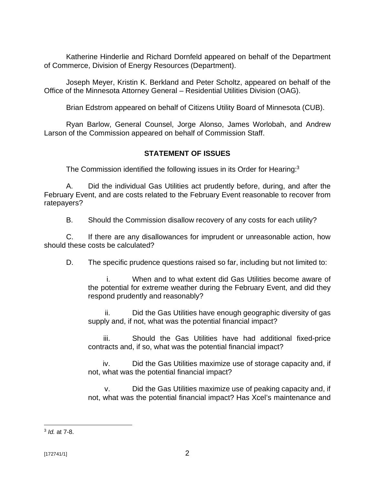Katherine Hinderlie and Richard Dornfeld appeared on behalf of the Department of Commerce, Division of Energy Resources (Department).

Joseph Meyer, Kristin K. Berkland and Peter Scholtz, appeared on behalf of the Office of the Minnesota Attorney General – Residential Utilities Division (OAG).

Brian Edstrom appeared on behalf of Citizens Utility Board of Minnesota (CUB).

Ryan Barlow, General Counsel, Jorge Alonso, James Worlobah, and Andrew Larson of the Commission appeared on behalf of Commission Staff.

## **STATEMENT OF ISSUES**

The Commission identified the following issues in its Order for Hearing:<sup>3</sup>

A. Did the individual Gas Utilities act prudently before, during, and after the February Event, and are costs related to the February Event reasonable to recover from ratepayers?

B. Should the Commission disallow recovery of any costs for each utility?

C. If there are any disallowances for imprudent or unreasonable action, how should these costs be calculated?

D. The specific prudence questions raised so far, including but not limited to:

i. When and to what extent did Gas Utilities become aware of the potential for extreme weather during the February Event, and did they respond prudently and reasonably?

ii. Did the Gas Utilities have enough geographic diversity of gas supply and, if not, what was the potential financial impact?

iii. Should the Gas Utilities have had additional fixed-price contracts and, if so, what was the potential financial impact?

iv. Did the Gas Utilities maximize use of storage capacity and, if not, what was the potential financial impact?

v. Did the Gas Utilities maximize use of peaking capacity and, if not, what was the potential financial impact? Has Xcel's maintenance and

<sup>3</sup> *Id.* at 7-8.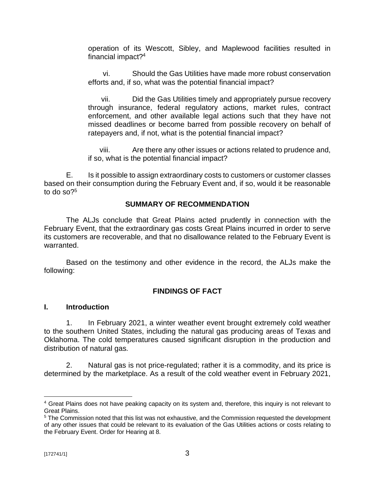operation of its Wescott, Sibley, and Maplewood facilities resulted in financial impact?<sup>4</sup>

vi. Should the Gas Utilities have made more robust conservation efforts and, if so, what was the potential financial impact?

vii. Did the Gas Utilities timely and appropriately pursue recovery through insurance, federal regulatory actions, market rules, contract enforcement, and other available legal actions such that they have not missed deadlines or become barred from possible recovery on behalf of ratepayers and, if not, what is the potential financial impact?

viii. Are there any other issues or actions related to prudence and, if so, what is the potential financial impact?

E. Is it possible to assign extraordinary costs to customers or customer classes based on their consumption during the February Event and, if so, would it be reasonable to do so $?5$ 

#### **SUMMARY OF RECOMMENDATION**

The ALJs conclude that Great Plains acted prudently in connection with the February Event, that the extraordinary gas costs Great Plains incurred in order to serve its customers are recoverable, and that no disallowance related to the February Event is warranted.

Based on the testimony and other evidence in the record, the ALJs make the following:

### **FINDINGS OF FACT**

#### **I. Introduction**

1. In February 2021, a winter weather event brought extremely cold weather to the southern United States, including the natural gas producing areas of Texas and Oklahoma. The cold temperatures caused significant disruption in the production and distribution of natural gas.

2. Natural gas is not price-regulated; rather it is a commodity, and its price is determined by the marketplace. As a result of the cold weather event in February 2021,

<sup>4</sup> Great Plains does not have peaking capacity on its system and, therefore, this inquiry is not relevant to Great Plains.

<sup>&</sup>lt;sup>5</sup> The Commission noted that this list was not exhaustive, and the Commission requested the development of any other issues that could be relevant to its evaluation of the Gas Utilities actions or costs relating to the February Event. Order for Hearing at 8.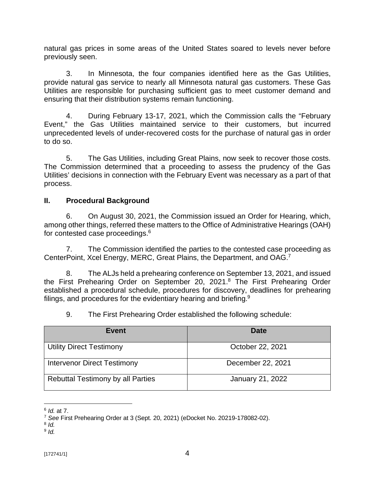natural gas prices in some areas of the United States soared to levels never before previously seen.

3. In Minnesota, the four companies identified here as the Gas Utilities, provide natural gas service to nearly all Minnesota natural gas customers. These Gas Utilities are responsible for purchasing sufficient gas to meet customer demand and ensuring that their distribution systems remain functioning.

4. During February 13-17, 2021, which the Commission calls the "February Event," the Gas Utilities maintained service to their customers, but incurred unprecedented levels of under-recovered costs for the purchase of natural gas in order to do so.

5. The Gas Utilities, including Great Plains, now seek to recover those costs. The Commission determined that a proceeding to assess the prudency of the Gas Utilities' decisions in connection with the February Event was necessary as a part of that process.

## **II. Procedural Background**

6. On August 30, 2021, the Commission issued an Order for Hearing, which, among other things, referred these matters to the Office of Administrative Hearings (OAH) for contested case proceedings.<sup>6</sup>

7. The Commission identified the parties to the contested case proceeding as CenterPoint, Xcel Energy, MERC, Great Plains, the Department, and OAG.<sup>7</sup>

8. The ALJs held a prehearing conference on September 13, 2021, and issued the First Prehearing Order on September 20, 2021.<sup>8</sup> The First Prehearing Order established a procedural schedule, procedures for discovery, deadlines for prehearing filings, and procedures for the evidentiary hearing and briefing.<sup>9</sup>

9. The First Prehearing Order established the following schedule:

| Event                                    | Date              |
|------------------------------------------|-------------------|
| <b>Utility Direct Testimony</b>          | October 22, 2021  |
| <b>Intervenor Direct Testimony</b>       | December 22, 2021 |
| <b>Rebuttal Testimony by all Parties</b> | January 21, 2022  |

<sup>6</sup> *Id.* at 7.

<sup>7</sup> *See* First Prehearing Order at 3 (Sept. 20, 2021) (eDocket No. 20219-178082-02).

<sup>8</sup> *Id.* 9 *Id.*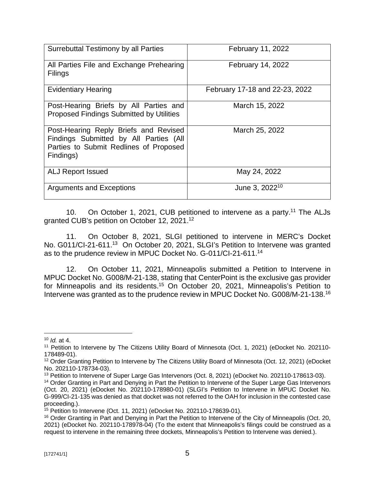| Surrebuttal Testimony by all Parties                                                                                                   | February 11, 2022              |
|----------------------------------------------------------------------------------------------------------------------------------------|--------------------------------|
| All Parties File and Exchange Prehearing<br><b>Filings</b>                                                                             | February 14, 2022              |
| <b>Evidentiary Hearing</b>                                                                                                             | February 17-18 and 22-23, 2022 |
| Post-Hearing Briefs by All Parties and<br><b>Proposed Findings Submitted by Utilities</b>                                              | March 15, 2022                 |
| Post-Hearing Reply Briefs and Revised<br>Findings Submitted by All Parties (All<br>Parties to Submit Redlines of Proposed<br>Findings) | March 25, 2022                 |
| <b>ALJ Report Issued</b>                                                                                                               | May 24, 2022                   |
| <b>Arguments and Exceptions</b>                                                                                                        | June 3, 2022 <sup>10</sup>     |

10. On October 1, 2021, CUB petitioned to intervene as a party.<sup>11</sup> The ALJs granted CUB's petition on October 12, 2021.<sup>12</sup>

11. On October 8, 2021, SLGI petitioned to intervene in MERC's Docket No. G011/CI-21-611.<sup>13</sup> On October 20, 2021, SLGI's Petition to Intervene was granted as to the prudence review in MPUC Docket No. G-011/CI-21-611.<sup>14</sup>

12. On October 11, 2021, Minneapolis submitted a Petition to Intervene in MPUC Docket No. G008/M-21-138, stating that CenterPoint is the exclusive gas provider for Minneapolis and its residents.<sup>15</sup> On October 20, 2021, Minneapolis's Petition to Intervene was granted as to the prudence review in MPUC Docket No. G008/M-21-138.<sup>16</sup>

<sup>10</sup> *Id.* at 4.

<sup>&</sup>lt;sup>11</sup> Petition to Intervene by The Citizens Utility Board of Minnesota (Oct. 1, 2021) (eDocket No. 202110-178489-01).

<sup>12</sup> Order Granting Petition to Intervene by The Citizens Utility Board of Minnesota (Oct. 12, 2021) (eDocket No. 202110-178734-03).

<sup>13</sup> Petition to Intervene of Super Large Gas Intervenors (Oct. 8, 2021) (eDocket No. 202110-178613-03).

<sup>&</sup>lt;sup>14</sup> Order Granting in Part and Denying in Part the Petition to Intervene of the Super Large Gas Intervenors (Oct. 20, 2021) (eDocket No. 202110-178980-01) (SLGI's Petition to Intervene in MPUC Docket No. G-999/CI-21-135 was denied as that docket was not referred to the OAH for inclusion in the contested case proceeding.).

<sup>15</sup> Petition to Intervene (Oct. 11, 2021) (eDocket No. 202110-178639-01).

<sup>&</sup>lt;sup>16</sup> Order Granting in Part and Denying in Part the Petition to Intervene of the City of Minneapolis (Oct. 20, 2021) (eDocket No. 202110-178978-04) (To the extent that Minneapolis's filings could be construed as a request to intervene in the remaining three dockets, Minneapolis's Petition to Intervene was denied.).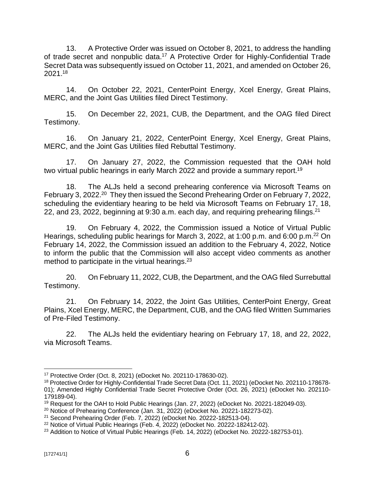13. A Protective Order was issued on October 8, 2021, to address the handling of trade secret and nonpublic data.<sup>17</sup> A Protective Order for Highly-Confidential Trade Secret Data was subsequently issued on October 11, 2021, and amended on October 26, 2021.<sup>18</sup>

14. On October 22, 2021, CenterPoint Energy, Xcel Energy, Great Plains, MERC, and the Joint Gas Utilities filed Direct Testimony.

15. On December 22, 2021, CUB, the Department, and the OAG filed Direct Testimony.

16. On January 21, 2022, CenterPoint Energy, Xcel Energy, Great Plains, MERC, and the Joint Gas Utilities filed Rebuttal Testimony.

17. On January 27, 2022, the Commission requested that the OAH hold two virtual public hearings in early March 2022 and provide a summary report.<sup>19</sup>

18. The ALJs held a second prehearing conference via Microsoft Teams on February 3, 2022.<sup>20</sup> They then issued the Second Prehearing Order on February 7, 2022, scheduling the evidentiary hearing to be held via Microsoft Teams on February 17, 18, 22, and 23, 2022, beginning at 9:30 a.m. each day, and requiring prehearing filings.<sup>21</sup>

19. On February 4, 2022, the Commission issued a Notice of Virtual Public Hearings, scheduling public hearings for March 3, 2022, at 1:00 p.m. and 6:00 p.m.<sup>22</sup> On February 14, 2022, the Commission issued an addition to the February 4, 2022, Notice to inform the public that the Commission will also accept video comments as another method to participate in the virtual hearings.<sup>23</sup>

20. On February 11, 2022, CUB, the Department, and the OAG filed Surrebuttal Testimony.

21. On February 14, 2022, the Joint Gas Utilities, CenterPoint Energy, Great Plains, Xcel Energy, MERC, the Department, CUB, and the OAG filed Written Summaries of Pre-Filed Testimony.

22. The ALJs held the evidentiary hearing on February 17, 18, and 22, 2022, via Microsoft Teams.

<sup>17</sup> Protective Order (Oct. 8, 2021) (eDocket No. 202110-178630-02).

<sup>18</sup> Protective Order for Highly-Confidential Trade Secret Data (Oct. 11, 2021) (eDocket No. 202110-178678- 01); Amended Highly Confidential Trade Secret Protective Order (Oct. 26, 2021) (eDocket No. 202110- 179189-04).

<sup>&</sup>lt;sup>19</sup> Request for the OAH to Hold Public Hearings (Jan. 27, 2022) (eDocket No. 20221-182049-03).

<sup>&</sup>lt;sup>20</sup> Notice of Prehearing Conference (Jan. 31, 2022) (eDocket No. 20221-182273-02).

<sup>21</sup> Second Prehearing Order (Feb. 7, 2022) (eDocket No. 20222-182513-04).

 $22$  Notice of Virtual Public Hearings (Feb. 4, 2022) (eDocket No. 20222-182412-02).

<sup>&</sup>lt;sup>23</sup> Addition to Notice of Virtual Public Hearings (Feb. 14, 2022) (eDocket No. 20222-182753-01).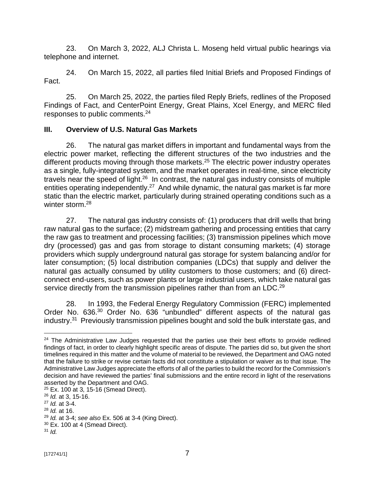23. On March 3, 2022, ALJ Christa L. Moseng held virtual public hearings via telephone and internet.

24. On March 15, 2022, all parties filed Initial Briefs and Proposed Findings of Fact.

25. On March 25, 2022, the parties filed Reply Briefs, redlines of the Proposed Findings of Fact, and CenterPoint Energy, Great Plains, Xcel Energy, and MERC filed responses to public comments.<sup>24</sup>

### **III. Overview of U.S. Natural Gas Markets**

26. The natural gas market differs in important and fundamental ways from the electric power market, reflecting the different structures of the two industries and the different products moving through those markets.<sup>25</sup> The electric power industry operates as a single, fully-integrated system, and the market operates in real-time, since electricity travels near the speed of light.<sup>26</sup> In contrast, the natural gas industry consists of multiple entities operating independently.<sup>27</sup> And while dynamic, the natural gas market is far more static than the electric market, particularly during strained operating conditions such as a winter storm. 28

27. The natural gas industry consists of: (1) producers that drill wells that bring raw natural gas to the surface; (2) midstream gathering and processing entities that carry the raw gas to treatment and processing facilities; (3) transmission pipelines which move dry (processed) gas and gas from storage to distant consuming markets; (4) storage providers which supply underground natural gas storage for system balancing and/or for later consumption; (5) local distribution companies (LDCs) that supply and deliver the natural gas actually consumed by utility customers to those customers; and (6) directconnect end-users, such as power plants or large industrial users, which take natural gas service directly from the transmission pipelines rather than from an LDC.<sup>29</sup>

28. In 1993, the Federal Energy Regulatory Commission (FERC) implemented Order No. 636.<sup>30</sup> Order No. 636 "unbundled" different aspects of the natural gas industry.<sup>31</sup> Previously transmission pipelines bought and sold the bulk interstate gas, and

<sup>&</sup>lt;sup>24</sup> The Administrative Law Judges requested that the parties use their best efforts to provide redlined findings of fact, in order to clearly highlight specific areas of dispute. The parties did so, but given the short timelines required in this matter and the volume of material to be reviewed, the Department and OAG noted that the failure to strike or revise certain facts did not constitute a stipulation or waiver as to that issue. The Administrative Law Judges appreciate the efforts of all of the parties to build the record for the Commission's decision and have reviewed the parties' final submissions and the entire record in light of the reservations asserted by the Department and OAG.

<sup>25</sup> Ex. 100 at 3, 15-16 (Smead Direct).

<sup>26</sup> *Id.* at 3, 15-16.

<sup>27</sup> *Id.* at 3-4.

<sup>28</sup> *Id.* at 16.

<sup>29</sup> *Id.* at 3-4; *see also* Ex. 506 at 3-4 (King Direct).

 $30$  Ex. 100 at 4 (Smead Direct).

<sup>31</sup> *Id.*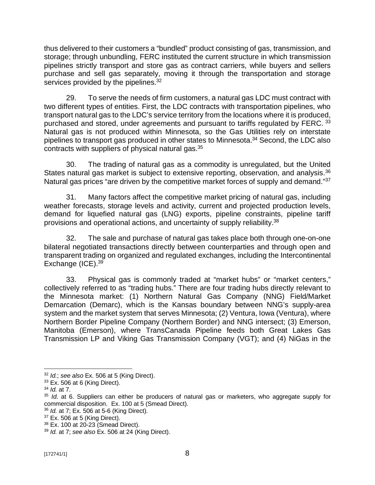thus delivered to their customers a "bundled" product consisting of gas, transmission, and storage; through unbundling, FERC instituted the current structure in which transmission pipelines strictly transport and store gas as contract carriers, while buyers and sellers purchase and sell gas separately, moving it through the transportation and storage services provided by the pipelines. $32$ 

29. To serve the needs of firm customers, a natural gas LDC must contract with two different types of entities. First, the LDC contracts with transportation pipelines, who transport natural gas to the LDC's service territory from the locations where it is produced, purchased and stored, under agreements and pursuant to tariffs regulated by FERC. 33 Natural gas is not produced within Minnesota, so the Gas Utilities rely on interstate pipelines to transport gas produced in other states to Minnesota.<sup>34</sup> Second, the LDC also contracts with suppliers of physical natural gas. $35$ 

30. The trading of natural gas as a commodity is unregulated, but the United States natural gas market is subject to extensive reporting, observation, and analysis.<sup>36</sup> Natural gas prices "are driven by the competitive market forces of supply and demand."<sup>37</sup>

31. Many factors affect the competitive market pricing of natural gas, including weather forecasts, storage levels and activity, current and projected production levels, demand for liquefied natural gas (LNG) exports, pipeline constraints, pipeline tariff provisions and operational actions, and uncertainty of supply reliability.<sup>38</sup>

32. The sale and purchase of natural gas takes place both through one-on-one bilateral negotiated transactions directly between counterparties and through open and transparent trading on organized and regulated exchanges, including the Intercontinental Exchange (ICE).<sup>39</sup>

33. Physical gas is commonly traded at "market hubs" or "market centers," collectively referred to as "trading hubs." There are four trading hubs directly relevant to the Minnesota market: (1) Northern Natural Gas Company (NNG) Field/Market Demarcation (Demarc), which is the Kansas boundary between NNG's supply-area system and the market system that serves Minnesota; (2) Ventura, Iowa (Ventura), where Northern Border Pipeline Company (Northern Border) and NNG intersect; (3) Emerson, Manitoba (Emerson), where TransCanada Pipeline feeds both Great Lakes Gas Transmission LP and Viking Gas Transmission Company (VGT); and (4) NiGas in the

<sup>32</sup> *Id.*; *see also* Ex. 506 at 5 (King Direct).

 $33$  Ex. 506 at 6 (King Direct).

<sup>34</sup> *Id.* at 7.

<sup>35</sup> *Id.* at 6. Suppliers can either be producers of natural gas or marketers, who aggregate supply for commercial disposition. Ex. 100 at 5 (Smead Direct).

<sup>36</sup> *Id.* at 7; Ex. 506 at 5-6 (King Direct).

<sup>37</sup> Ex. 506 at 5 (King Direct).

<sup>38</sup> Ex. 100 at 20-23 (Smead Direct).

<sup>39</sup> *Id.* at 7; *see also* Ex. 506 at 24 (King Direct).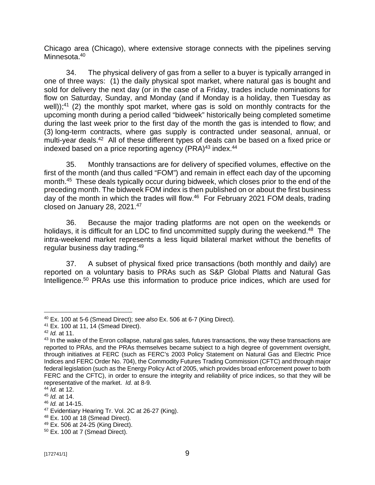Chicago area (Chicago), where extensive storage connects with the pipelines serving Minnesota.<sup>40</sup>

34. The physical delivery of gas from a seller to a buyer is typically arranged in one of three ways: (1) the daily physical spot market, where natural gas is bought and sold for delivery the next day (or in the case of a Friday, trades include nominations for flow on Saturday, Sunday, and Monday (and if Monday is a holiday, then Tuesday as well));<sup>41</sup> (2) the monthly spot market, where gas is sold on monthly contracts for the upcoming month during a period called "bidweek" historically being completed sometime during the last week prior to the first day of the month the gas is intended to flow; and (3) long-term contracts, where gas supply is contracted under seasonal, annual, or multi-year deals.<sup>42</sup> All of these different types of deals can be based on a fixed price or indexed based on a price reporting agency (PRA)<sup>43</sup> index.<sup>44</sup>

35. Monthly transactions are for delivery of specified volumes, effective on the first of the month (and thus called "FOM") and remain in effect each day of the upcoming month.<sup>45</sup> These deals typically occur during bidweek, which closes prior to the end of the preceding month. The bidweek FOM index is then published on or about the first business day of the month in which the trades will flow.<sup>46</sup> For February 2021 FOM deals, trading closed on January 28, 2021.<sup>47</sup>

36. Because the major trading platforms are not open on the weekends or holidays, it is difficult for an LDC to find uncommitted supply during the weekend.<sup>48</sup> The intra-weekend market represents a less liquid bilateral market without the benefits of regular business day trading.<sup>49</sup>

37. A subset of physical fixed price transactions (both monthly and daily) are reported on a voluntary basis to PRAs such as S&P Global Platts and Natural Gas Intelligence.<sup>50</sup> PRAs use this information to produce price indices, which are used for

<sup>40</sup> Ex. 100 at 5-6 (Smead Direct); *see also* Ex. 506 at 6-7 (King Direct).

<sup>41</sup> Ex. 100 at 11, 14 (Smead Direct).

<sup>42</sup> *Id.* at 11.

<sup>&</sup>lt;sup>43</sup> In the wake of the Enron collapse, natural gas sales, futures transactions, the way these transactions are reported to PRAs, and the PRAs themselves became subject to a high degree of government oversight, through initiatives at FERC (such as FERC's 2003 Policy Statement on Natural Gas and Electric Price Indices and FERC Order No. 704), the Commodity Futures Trading Commission (CFTC) and through major federal legislation (such as the Energy Policy Act of 2005, which provides broad enforcement power to both FERC and the CFTC), in order to ensure the integrity and reliability of price indices, so that they will be representative of the market. *Id.* at 8-9.

<sup>44</sup> *Id.* at 12.

<sup>45</sup> *Id.* at 14.

<sup>46</sup> *Id.* at 14-15.

<sup>&</sup>lt;sup>47</sup> Evidentiary Hearing Tr. Vol. 2C at 26-27 (King).

<sup>48</sup> Ex. 100 at 18 (Smead Direct).

<sup>49</sup> Ex. 506 at 24-25 (King Direct).

 $50$  Ex. 100 at 7 (Smead Direct).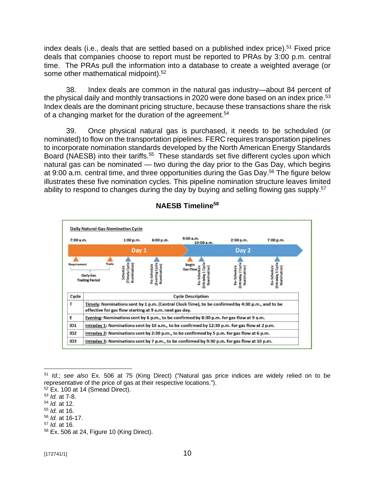index deals (i.e., deals that are settled based on a published index price).<sup>51</sup> Fixed price deals that companies choose to report must be reported to PRAs by 3:00 p.m. central time. The PRAs pull the information into a database to create a weighted average (or some other mathematical midpoint).<sup>52</sup>

38. Index deals are common in the natural gas industry—about 84 percent of the physical daily and monthly transactions in 2020 were done based on an index price.<sup>53</sup> Index deals are the dominant pricing structure, because these transactions share the risk of a changing market for the duration of the agreement.<sup>54</sup>

39. Once physical natural gas is purchased, it needs to be scheduled (or nominated) to flow on the transportation pipelines. FERC requires transportation pipelines to incorporate nomination standards developed by the North American Energy Standards Board (NAESB) into their tariffs.<sup>55</sup> These standards set five different cycles upon which natural gas can be nominated — two during the day prior to the Gas Day, which begins at 9:00 a.m. central time, and three opportunities during the Gas Day.<sup>56</sup> The figure below illustrates these five nomination cycles. This pipeline nomination structure leaves limited ability to respond to changes during the day by buying and selling flowing gas supply.<sup>57</sup>



# **NAESB Timeline<sup>58</sup>**

- <sup>55</sup> *Id.* at 16.
- <sup>56</sup> *Id.* at 16-17.
- <sup>57</sup> *Id.* at 16.

<sup>51</sup> *Id.*; *see also* Ex. 506 at 75 (King Direct) ("Natural gas price indices are widely relied on to be representative of the price of gas at their respective locations.").

<sup>52</sup> Ex. 100 at 14 (Smead Direct).

<sup>53</sup> *Id.* at 7-8.

<sup>54</sup> *Id.* at 12.

<sup>58</sup> Ex. 506 at 24, Figure 10 (King Direct).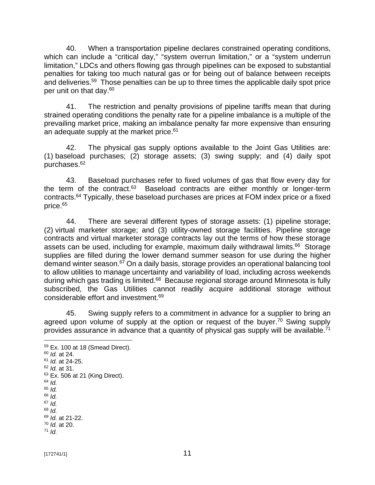40. When a transportation pipeline declares constrained operating conditions, which can include a "critical day," "system overrun limitation," or a "system underrun limitation," LDCs and others flowing gas through pipelines can be exposed to substantial penalties for taking too much natural gas or for being out of balance between receipts and deliveries.<sup>59</sup> Those penalties can be up to three times the applicable daily spot price per unit on that day.<sup>60</sup>

41. The restriction and penalty provisions of pipeline tariffs mean that during strained operating conditions the penalty rate for a pipeline imbalance is a multiple of the prevailing market price, making an imbalance penalty far more expensive than ensuring an adequate supply at the market price.<sup>61</sup>

42. The physical gas supply options available to the Joint Gas Utilities are: (1) baseload purchases; (2) storage assets; (3) swing supply; and (4) daily spot purchases.<sup>62</sup>

43. Baseload purchases refer to fixed volumes of gas that flow every day for the term of the contract.<sup>63</sup> Baseload contracts are either monthly or longer-term contracts.<sup>64</sup> Typically, these baseload purchases are prices at FOM index price or a fixed price.<sup>65</sup>

44. There are several different types of storage assets: (1) pipeline storage; (2) virtual marketer storage; and (3) utility-owned storage facilities. Pipeline storage contracts and virtual marketer storage contracts lay out the terms of how these storage assets can be used, including for example, maximum daily withdrawal limits.<sup>66</sup> Storage supplies are filled during the lower demand summer season for use during the higher  $\overline{1}$  demand winter season.<sup>67</sup> On a daily basis, storage provides an operational balancing tool to allow utilities to manage uncertainty and variability of load, including across weekends during which gas trading is limited.<sup>68</sup> Because regional storage around Minnesota is fully subscribed, the Gas Utilities cannot readily acquire additional storage without considerable effort and investment.<sup>69</sup>

45. Swing supply refers to a commitment in advance for a supplier to bring an agreed upon volume of supply at the option or request of the buyer.<sup>70</sup> Swing supply provides assurance in advance that a quantity of physical gas supply will be available.<sup>71</sup>

- <sup>66</sup> *Id.*
- <sup>67</sup> *Id.*
- <sup>68</sup> *Id.*

<sup>59</sup> Ex. 100 at 18 (Smead Direct).

<sup>60</sup> *Id.* at 24.

<sup>61</sup> *Id.* at 24-25.

<sup>62</sup> *Id.* at 31.

<sup>&</sup>lt;sup>63</sup> Ex. 506 at 21 (King Direct).  $64$  *Id.* 

<sup>65</sup> *Id.*

<sup>69</sup> *Id.* at 21-22.

<sup>70</sup> *Id.* at 20.

 $71$  *Id.*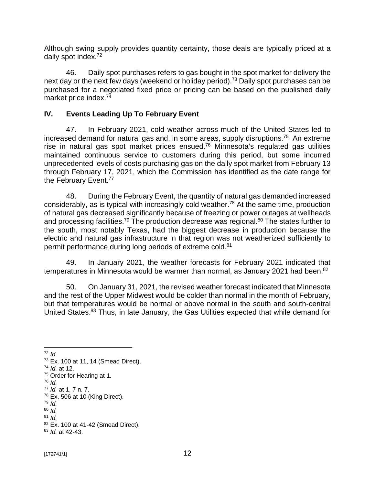Although swing supply provides quantity certainty, those deals are typically priced at a daily spot index.<sup>72</sup>

46. Daily spot purchases refers to gas bought in the spot market for delivery the next day or the next few days (weekend or holiday period).<sup>73</sup> Daily spot purchases can be purchased for a negotiated fixed price or pricing can be based on the published daily market price index.<sup>74</sup>

## **IV. Events Leading Up To February Event**

47. In February 2021, cold weather across much of the United States led to increased demand for natural gas and, in some areas, supply disruptions.<sup>75</sup> An extreme rise in natural gas spot market prices ensued.<sup>76</sup> Minnesota's regulated gas utilities maintained continuous service to customers during this period, but some incurred unprecedented levels of costs purchasing gas on the daily spot market from February 13 through February 17, 2021, which the Commission has identified as the date range for the February Event.<sup>77</sup>

48. During the February Event, the quantity of natural gas demanded increased considerably, as is typical with increasingly cold weather.<sup>78</sup> At the same time, production of natural gas decreased significantly because of freezing or power outages at wellheads and processing facilities.<sup>79</sup> The production decrease was regional.<sup>80</sup> The states further to the south, most notably Texas, had the biggest decrease in production because the electric and natural gas infrastructure in that region was not weatherized sufficiently to permit performance during long periods of extreme cold.<sup>81</sup>

49. In January 2021, the weather forecasts for February 2021 indicated that temperatures in Minnesota would be warmer than normal, as January 2021 had been.<sup>82</sup>

50. On January 31, 2021, the revised weather forecast indicated that Minnesota and the rest of the Upper Midwest would be colder than normal in the month of February, but that temperatures would be normal or above normal in the south and south-central United States.<sup>83</sup> Thus, in late January, the Gas Utilities expected that while demand for

<sup>72</sup> *Id.*

<sup>73</sup> Ex. 100 at 11, 14 (Smead Direct).

<sup>74</sup> *Id.* at 12.

<sup>&</sup>lt;sup>75</sup> Order for Hearing at 1.

<sup>76</sup> *Id.*

<sup>77</sup> *Id.* at 1, 7 n. 7.

 $78$  Ex. 506 at 10 (King Direct).

<sup>79</sup> *Id.* 

<sup>80</sup> *Id.*

<sup>81</sup> *Id.*

<sup>82</sup> Ex. 100 at 41-42 (Smead Direct).

<sup>83</sup> *Id.* at 42-43.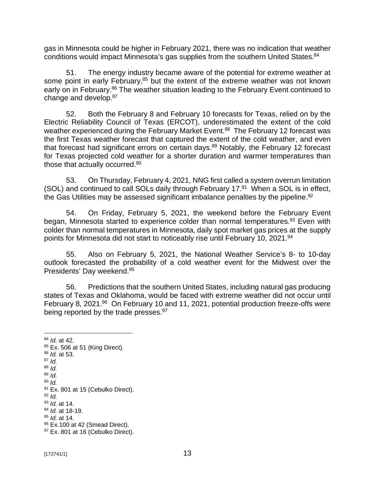gas in Minnesota could be higher in February 2021, there was no indication that weather conditions would impact Minnesota's gas supplies from the southern United States.<sup>84</sup>

51. The energy industry became aware of the potential for extreme weather at some point in early February,<sup>85</sup> but the extent of the extreme weather was not known early on in February.<sup>86</sup> The weather situation leading to the February Event continued to change and develop.<sup>87</sup>

52. Both the February 8 and February 10 forecasts for Texas, relied on by the Electric Reliability Council of Texas (ERCOT), underestimated the extent of the cold weather experienced during the February Market Event.<sup>88</sup> The February 12 forecast was the first Texas weather forecast that captured the extent of the cold weather, and even that forecast had significant errors on certain days.<sup>89</sup> Notably, the February 12 forecast for Texas projected cold weather for a shorter duration and warmer temperatures than those that actually occurred.<sup>90</sup>

53. On Thursday, February 4, 2021, NNG first called a system overrun limitation (SOL) and continued to call SOLs daily through February 17.<sup>91</sup> When a SOL is in effect, the Gas Utilities may be assessed significant imbalance penalties by the pipeline.<sup>92</sup>

54. On Friday, February 5, 2021, the weekend before the February Event began, Minnesota started to experience colder than normal temperatures.<sup>93</sup> Even with colder than normal temperatures in Minnesota, daily spot market gas prices at the supply points for Minnesota did not start to noticeably rise until February 10, 2021.<sup>94</sup>

55. Also on February 5, 2021, the National Weather Service's 8- to 10-day outlook forecasted the probability of a cold weather event for the Midwest over the Presidents' Day weekend.<sup>95</sup>

56. Predictions that the southern United States, including natural gas producing states of Texas and Oklahoma, would be faced with extreme weather did not occur until February 8, 2021.<sup>96</sup> On February 10 and 11, 2021, potential production freeze-offs were being reported by the trade presses.<sup>97</sup>

- <sup>86</sup> *Id.* at 53.
- <sup>87</sup> *Id.*
- <sup>88</sup> *Id.* <sup>89</sup> *Id.*
- <sup>90</sup> *Id.*

- <sup>92</sup> *Id.*
- <sup>93</sup> *Id.* at 14.

<sup>95</sup> *Id.* at 14.

<sup>84</sup> *Id.* at 42.

 $85$  Ex. 506 at 51 (King Direct).

<sup>&</sup>lt;sup>91</sup> Ex. 801 at 15 (Cebulko Direct).

<sup>94</sup> *Id.* at 18-19.

 $96$  Ex.100 at 42 (Smead Direct).

<sup>&</sup>lt;sup>97</sup> Ex. 801 at 16 (Cebulko Direct).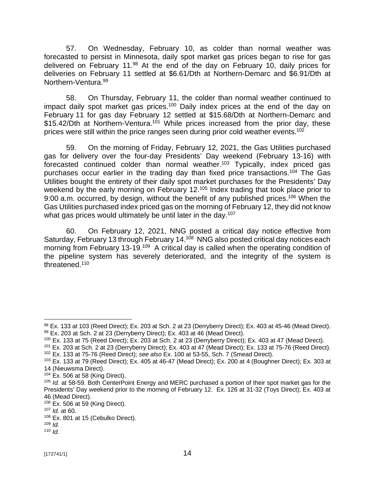57. On Wednesday, February 10, as colder than normal weather was forecasted to persist in Minnesota, daily spot market gas prices began to rise for gas delivered on February 11.<sup>98</sup> At the end of the day on February 10, daily prices for deliveries on February 11 settled at \$6.61/Dth at Northern-Demarc and \$6.91/Dth at Northern-Ventura.<sup>99</sup>

58. On Thursday, February 11, the colder than normal weather continued to impact daily spot market gas prices.<sup>100</sup> Daily index prices at the end of the day on February 11 for gas day February 12 settled at \$15.68/Dth at Northern-Demarc and \$15.42/Dth at Northern-Ventura.<sup>101</sup> While prices increased from the prior day, these prices were still within the price ranges seen during prior cold weather events. 102

59. On the morning of Friday, February 12, 2021, the Gas Utilities purchased gas for delivery over the four-day Presidents' Day weekend (February 13-16) with forecasted continued colder than normal weather.<sup>103</sup> Typically, index priced gas purchases occur earlier in the trading day than fixed price transactions.<sup>104</sup> The Gas Utilities bought the entirety of their daily spot market purchases for the Presidents' Day weekend by the early morning on February 12.<sup>105</sup> Index trading that took place prior to 9:00 a.m. occurred, by design, without the benefit of any published prices.<sup>106</sup> When the Gas Utilities purchased index priced gas on the morning of February 12, they did not know what gas prices would ultimately be until later in the day.<sup>107</sup>

60. On February 12, 2021, NNG posted a critical day notice effective from Saturday, February 13 through February 14.<sup>108</sup> NNG also posted critical day notices each morning from February 13-19.<sup>109</sup> A critical day is called when the operating condition of the pipeline system has severely deteriorated, and the integrity of the system is threatened.<sup>110</sup>

<sup>98</sup> Ex. 133 at 103 (Reed Direct); Ex. 203 at Sch. 2 at 23 (Derryberry Direct); Ex. 403 at 45-46 (Mead Direct). 99 Ex. 203 at Sch. 2 at 23 (Derryberry Direct); Ex. 403 at 46 (Mead Direct).

<sup>100</sup> Ex. 133 at 75 (Reed Direct); Ex. 203 at Sch. 2 at 23 (Derryberry Direct); Ex. 403 at 47 (Mead Direct).

<sup>101</sup> Ex. 203 at Sch. 2 at 23 (Derryberry Direct); Ex. 403 at 47 (Mead Direct); Ex. 133 at 75-76 (Reed Direct). <sup>102</sup> Ex. 133 at 75-76 (Reed Direct); *see also* Ex. 100 at 53-55, Sch. 7 (Smead Direct).

<sup>103</sup> Ex. 133 at 79 (Reed Direct); Ex. 405 at 46-47 (Mead Direct); Ex. 200 at 4 (Boughner Direct); Ex. 303 at 14 (Nieuwsma Direct).

 $104$  Ex. 506 at 58 (King Direct).

<sup>105</sup> *Id.* at 58-59. Both CenterPoint Energy and MERC purchased a portion of their spot market gas for the Presidents' Day weekend prior to the morning of February 12. Ex. 126 at 31-32 (Toys Direct); Ex. 403 at 46 (Mead Direct).

<sup>106</sup> Ex. 506 at 59 (King Direct).

<sup>107</sup> *Id.* at 60.

<sup>&</sup>lt;sup>108</sup> Ex. 801 at 15 (Cebulko Direct).

<sup>109</sup> *Id.* <sup>110</sup> *Id.*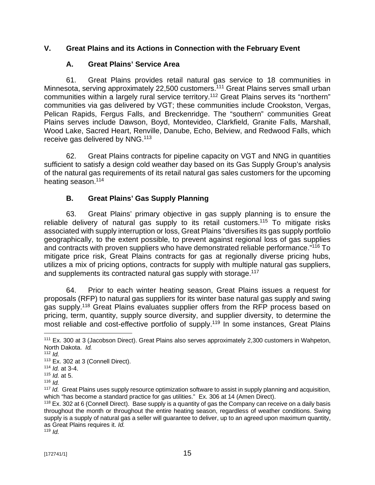## **V. Great Plains and its Actions in Connection with the February Event**

## **A. Great Plains' Service Area**

61. Great Plains provides retail natural gas service to 18 communities in Minnesota, serving approximately 22,500 customers.<sup>111</sup> Great Plains serves small urban communities within a largely rural service territory.<sup>112</sup> Great Plains serves its "northern" communities via gas delivered by VGT; these communities include Crookston, Vergas, Pelican Rapids, Fergus Falls, and Breckenridge. The "southern" communities Great Plains serves include Dawson, Boyd, Montevideo, Clarkfield, Granite Falls, Marshall, Wood Lake, Sacred Heart, Renville, Danube, Echo, Belview, and Redwood Falls, which receive gas delivered by NNG.<sup>113</sup>

62. Great Plains contracts for pipeline capacity on VGT and NNG in quantities sufficient to satisfy a design cold weather day based on its Gas Supply Group's analysis of the natural gas requirements of its retail natural gas sales customers for the upcoming heating season.<sup>114</sup>

# **B. Great Plains' Gas Supply Planning**

63. Great Plains' primary objective in gas supply planning is to ensure the reliable delivery of natural gas supply to its retail customers.<sup>115</sup> To mitigate risks associated with supply interruption or loss, Great Plains "diversifies its gas supply portfolio geographically, to the extent possible, to prevent against regional loss of gas supplies and contracts with proven suppliers who have demonstrated reliable performance."<sup>116</sup> To mitigate price risk, Great Plains contracts for gas at regionally diverse pricing hubs, utilizes a mix of pricing options, contracts for supply with multiple natural gas suppliers, and supplements its contracted natural gas supply with storage.<sup>117</sup>

64. Prior to each winter heating season, Great Plains issues a request for proposals (RFP) to natural gas suppliers for its winter base natural gas supply and swing gas supply.<sup>118</sup> Great Plains evaluates supplier offers from the RFP process based on pricing, term, quantity, supply source diversity, and supplier diversity, to determine the most reliable and cost-effective portfolio of supply.<sup>119</sup> In some instances, Great Plains

 $119$  *Id.* 

<sup>&</sup>lt;sup>111</sup> Ex. 300 at 3 (Jacobson Direct). Great Plains also serves approximately 2,300 customers in Wahpeton, North Dakota. *Id.*

 $112$  *Id.* 

 $113$  Ex. 302 at 3 (Connell Direct).

<sup>114</sup> *Id.* at 3-4.

<sup>115</sup> *Id.* at 5.

<sup>116</sup> *Id.*

<sup>117</sup> *Id.* Great Plains uses supply resource optimization software to assist in supply planning and acquisition, which "has become a standard practice for gas utilities." Ex. 306 at 14 (Amen Direct).

<sup>118</sup> Ex. 302 at 6 (Connell Direct). Base supply is a quantity of gas the Company can receive on a daily basis throughout the month or throughout the entire heating season, regardless of weather conditions. Swing supply is a supply of natural gas a seller will guarantee to deliver, up to an agreed upon maximum quantity, as Great Plains requires it. *Id.*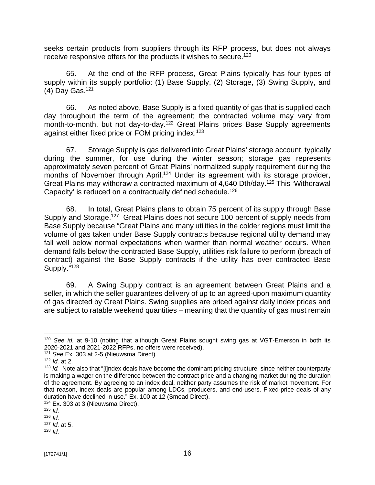seeks certain products from suppliers through its RFP process, but does not always receive responsive offers for the products it wishes to secure.<sup>120</sup>

65. At the end of the RFP process, Great Plains typically has four types of supply within its supply portfolio: (1) Base Supply, (2) Storage, (3) Swing Supply, and (4) Day Gas.<sup>121</sup>

66. As noted above, Base Supply is a fixed quantity of gas that is supplied each day throughout the term of the agreement; the contracted volume may vary from month-to-month, but not day-to-day.<sup>122</sup> Great Plains prices Base Supply agreements against either fixed price or FOM pricing index.<sup>123</sup>

67. Storage Supply is gas delivered into Great Plains' storage account, typically during the summer, for use during the winter season; storage gas represents approximately seven percent of Great Plains' normalized supply requirement during the months of November through April.<sup>124</sup> Under its agreement with its storage provider, Great Plains may withdraw a contracted maximum of 4,640 Dth/day.<sup>125</sup> This 'Withdrawal Capacity' is reduced on a contractually defined schedule.<sup>126</sup>

68. In total, Great Plains plans to obtain 75 percent of its supply through Base Supply and Storage.<sup>127</sup> Great Plains does not secure 100 percent of supply needs from Base Supply because "Great Plains and many utilities in the colder regions must limit the volume of gas taken under Base Supply contracts because regional utility demand may fall well below normal expectations when warmer than normal weather occurs. When demand falls below the contracted Base Supply, utilities risk failure to perform (breach of contract) against the Base Supply contracts if the utility has over contracted Base Supply."<sup>128</sup>

69. A Swing Supply contract is an agreement between Great Plains and a seller, in which the seller guarantees delivery of up to an agreed-upon maximum quantity of gas directed by Great Plains. Swing supplies are priced against daily index prices and are subject to ratable weekend quantities – meaning that the quantity of gas must remain

<sup>&</sup>lt;sup>120</sup> See id. at 9-10 (noting that although Great Plains sought swing gas at VGT-Emerson in both its 2020-2021 and 2021-2022 RFPs, no offers were received).

<sup>121</sup> *See* Ex. 303 at 2-5 (Nieuwsma Direct).

<sup>122</sup> *Id.* at 2.

<sup>&</sup>lt;sup>123</sup> *Id.* Note also that "[i]ndex deals have become the dominant pricing structure, since neither counterparty is making a wager on the difference between the contract price and a changing market during the duration of the agreement. By agreeing to an index deal, neither party assumes the risk of market movement. For that reason, index deals are popular among LDCs, producers, and end-users. Fixed-price deals of any duration have declined in use." Ex. 100 at 12 (Smead Direct).

<sup>&</sup>lt;sup>124</sup> Ex. 303 at 3 (Nieuwsma Direct).

<sup>125</sup> *Id.*

<sup>126</sup> *Id.*

<sup>127</sup> *Id.* at 5.

<sup>128</sup> *Id.*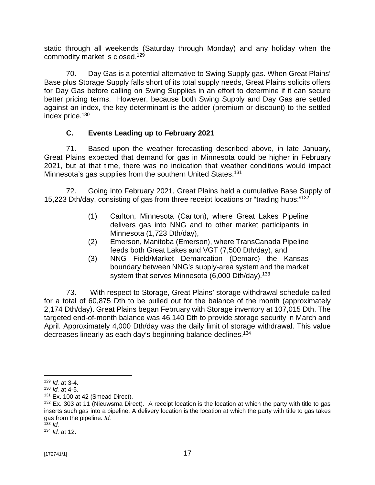static through all weekends (Saturday through Monday) and any holiday when the commodity market is closed.<sup>129</sup>

70. Day Gas is a potential alternative to Swing Supply gas. When Great Plains' Base plus Storage Supply falls short of its total supply needs, Great Plains solicits offers for Day Gas before calling on Swing Supplies in an effort to determine if it can secure better pricing terms. However, because both Swing Supply and Day Gas are settled against an index, the key determinant is the adder (premium or discount) to the settled index price.<sup>130</sup>

# **C. Events Leading up to February 2021**

71. Based upon the weather forecasting described above, in late January, Great Plains expected that demand for gas in Minnesota could be higher in February 2021, but at that time, there was no indication that weather conditions would impact Minnesota's gas supplies from the southern United States.<sup>131</sup>

72. Going into February 2021, Great Plains held a cumulative Base Supply of 15,223 Dth/day, consisting of gas from three receipt locations or "trading hubs:" 132

- (1) Carlton, Minnesota (Carlton), where Great Lakes Pipeline delivers gas into NNG and to other market participants in Minnesota (1,723 Dth/day),
- (2) Emerson, Manitoba (Emerson), where TransCanada Pipeline feeds both Great Lakes and VGT (7,500 Dth/day), and
- (3) NNG Field/Market Demarcation (Demarc) the Kansas boundary between NNG's supply-area system and the market system that serves Minnesota (6,000 Dth/day). $133$

73. With respect to Storage, Great Plains' storage withdrawal schedule called for a total of 60,875 Dth to be pulled out for the balance of the month (approximately 2,174 Dth/day). Great Plains began February with Storage inventory at 107,015 Dth. The targeted end-of-month balance was 46,140 Dth to provide storage security in March and April. Approximately 4,000 Dth/day was the daily limit of storage withdrawal. This value decreases linearly as each day's beginning balance declines.<sup>134</sup>

<sup>129</sup> *Id.* at 3-4.

<sup>130</sup> *Id.* at 4-5.

 $131$  Ex. 100 at 42 (Smead Direct).

<sup>&</sup>lt;sup>132</sup> Ex. 303 at 11 (Nieuwsma Direct). A receipt location is the location at which the party with title to gas inserts such gas into a pipeline. A delivery location is the location at which the party with title to gas takes gas from the pipeline. *Id.*

<sup>133</sup> *Id.* <sup>134</sup> *Id.* at 12.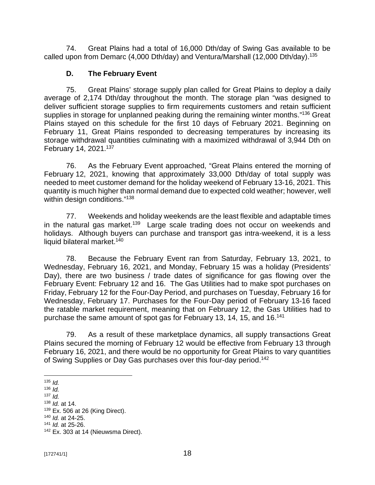74. Great Plains had a total of 16,000 Dth/day of Swing Gas available to be called upon from Demarc (4,000 Dth/day) and Ventura/Marshall (12,000 Dth/day).<sup>135</sup>

### **D. The February Event**

75. Great Plains' storage supply plan called for Great Plains to deploy a daily average of 2,174 Dth/day throughout the month. The storage plan "was designed to deliver sufficient storage supplies to firm requirements customers and retain sufficient supplies in storage for unplanned peaking during the remaining winter months."<sup>136</sup> Great Plains stayed on this schedule for the first 10 days of February 2021. Beginning on February 11, Great Plains responded to decreasing temperatures by increasing its storage withdrawal quantities culminating with a maximized withdrawal of 3,944 Dth on February 14, 2021.<sup>137</sup>

76. As the February Event approached, "Great Plains entered the morning of February 12, 2021, knowing that approximately 33,000 Dth/day of total supply was needed to meet customer demand for the holiday weekend of February 13-16, 2021. This quantity is much higher than normal demand due to expected cold weather; however, well within design conditions." 138

77. Weekends and holiday weekends are the least flexible and adaptable times in the natural gas market.<sup>139</sup> Large scale trading does not occur on weekends and holidays. Although buyers can purchase and transport gas intra-weekend, it is a less liquid bilateral market.<sup>140</sup>

78. Because the February Event ran from Saturday, February 13, 2021, to Wednesday, February 16, 2021, and Monday, February 15 was a holiday (Presidents' Day), there are two business / trade dates of significance for gas flowing over the February Event: February 12 and 16. The Gas Utilities had to make spot purchases on Friday, February 12 for the Four-Day Period, and purchases on Tuesday, February 16 for Wednesday, February 17. Purchases for the Four-Day period of February 13-16 faced the ratable market requirement, meaning that on February 12, the Gas Utilities had to purchase the same amount of spot gas for February 13, 14, 15, and 16.<sup>141</sup>

79. As a result of these marketplace dynamics, all supply transactions Great Plains secured the morning of February 12 would be effective from February 13 through February 16, 2021, and there would be no opportunity for Great Plains to vary quantities of Swing Supplies or Day Gas purchases over this four-day period.<sup>142</sup>

 $135$  *Id.* 

<sup>136</sup> *Id.*

 $137$  *Id.* 

<sup>138</sup> *Id.* at 14.

<sup>139</sup> Ex. 506 at 26 (King Direct).

<sup>140</sup> *Id.* at 24-25.

<sup>141</sup> *Id.* at 25-26.

<sup>&</sup>lt;sup>142</sup> Ex. 303 at 14 (Nieuwsma Direct).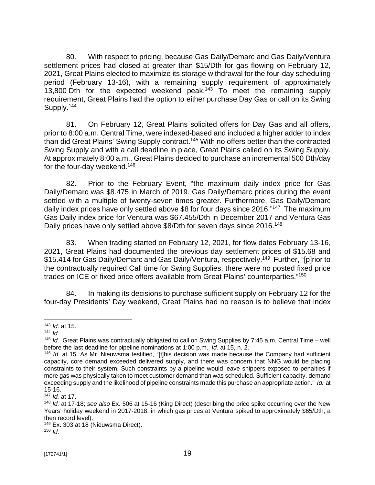80. With respect to pricing, because Gas Daily/Demarc and Gas Daily/Ventura settlement prices had closed at greater than \$15/Dth for gas flowing on February 12, 2021, Great Plains elected to maximize its storage withdrawal for the four-day scheduling period (February 13-16), with a remaining supply requirement of approximately 13,800 Dth for the expected weekend peak.<sup>143</sup> To meet the remaining supply requirement, Great Plains had the option to either purchase Day Gas or call on its Swing Supply.<sup>144</sup>

81. On February 12, Great Plains solicited offers for Day Gas and all offers, prior to 8:00 a.m. Central Time, were indexed-based and included a higher adder to index than did Great Plains' Swing Supply contract.<sup>145</sup> With no offers better than the contracted Swing Supply and with a call deadline in place, Great Plains called on its Swing Supply. At approximately 8:00 a.m., Great Plains decided to purchase an incremental 500 Dth/day for the four-day weekend.<sup>146</sup>

82. Prior to the February Event, "the maximum daily index price for Gas Daily/Demarc was \$8.475 in March of 2019. Gas Daily/Demarc prices during the event settled with a multiple of twenty-seven times greater. Furthermore, Gas Daily/Demarc daily index prices have only settled above \$8 for four days since 2016."<sup>147</sup> The maximum Gas Daily index price for Ventura was \$67.455/Dth in December 2017 and Ventura Gas Daily prices have only settled above \$8/Dth for seven days since 2016.<sup>148</sup>

83. When trading started on February 12, 2021, for flow dates February 13-16, 2021, Great Plains had documented the previous day settlement prices of \$15.68 and \$15.414 for Gas Daily/Demarc and Gas Daily/Ventura, respectively.<sup>149</sup> Further, "[p]rior to the contractually required Call time for Swing Supplies, there were no posted fixed price trades on ICE or fixed price offers available from Great Plains' counterparties." 150

84. In making its decisions to purchase sufficient supply on February 12 for the four-day Presidents' Day weekend, Great Plains had no reason is to believe that index

<sup>143</sup> *Id.* at 15.

<sup>144</sup> *Id.*

<sup>145</sup> *Id.* Great Plains was contractually obligated to call on Swing Supplies by 7:45 a.m. Central Time – well before the last deadline for pipeline nominations at 1:00 p.m. *Id.* at 15, n. 2.

<sup>&</sup>lt;sup>146</sup> *Id.* at 15. As Mr. Nieuwsma testified, "[t]his decision was made because the Company had sufficient capacity, core demand exceeded delivered supply, and there was concern that NNG would be placing constraints to their system. Such constraints by a pipeline would leave shippers exposed to penalties if more gas was physically taken to meet customer demand than was scheduled. Sufficient capacity, demand exceeding supply and the likelihood of pipeline constraints made this purchase an appropriate action." *Id.* at 15-16.

<sup>147</sup> *Id.* at 17.

<sup>148</sup> *Id.* at 17-18; *see also* Ex. 506 at 15-16 (King Direct) (describing the price spike occurring over the New Years' holiday weekend in 2017-2018, in which gas prices at Ventura spiked to approximately \$65/Dth, a then record level).

<sup>&</sup>lt;sup>149</sup> Ex. 303 at 18 (Nieuwsma Direct). <sup>150</sup> *Id.*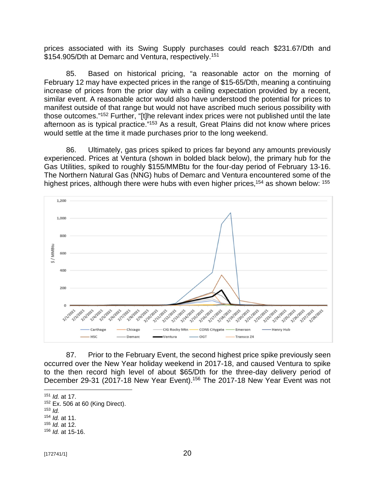prices associated with its Swing Supply purchases could reach \$231.67/Dth and \$154.905/Dth at Demarc and Ventura, respectively.<sup>151</sup>

85. Based on historical pricing, "a reasonable actor on the morning of February 12 may have expected prices in the range of \$15-65/Dth, meaning a continuing increase of prices from the prior day with a ceiling expectation provided by a recent, similar event. A reasonable actor would also have understood the potential for prices to manifest outside of that range but would not have ascribed much serious possibility with those outcomes."<sup>152</sup> Further, "[t]he relevant index prices were not published until the late afternoon as is typical practice."<sup>153</sup> As a result, Great Plains did not know where prices would settle at the time it made purchases prior to the long weekend.

86. Ultimately, gas prices spiked to prices far beyond any amounts previously experienced. Prices at Ventura (shown in bolded black below), the primary hub for the Gas Utilities, spiked to roughly \$155/MMBtu for the four-day period of February 13-16. The Northern Natural Gas (NNG) hubs of Demarc and Ventura encountered some of the highest prices, although there were hubs with even higher prices,<sup>154</sup> as shown below: <sup>155</sup>



87. Prior to the February Event, the second highest price spike previously seen occurred over the New Year holiday weekend in 2017-18, and caused Ventura to spike to the then record high level of about \$65/Dth for the three-day delivery period of December 29-31 (2017-18 New Year Event).<sup>156</sup> The 2017-18 New Year Event was not

 Ex. 506 at 60 (King Direct). <sup>153</sup> *Id. Id.* at 11. *Id.* at 12. *Id.* at 15-16.

<sup>151</sup> *Id.* at 17.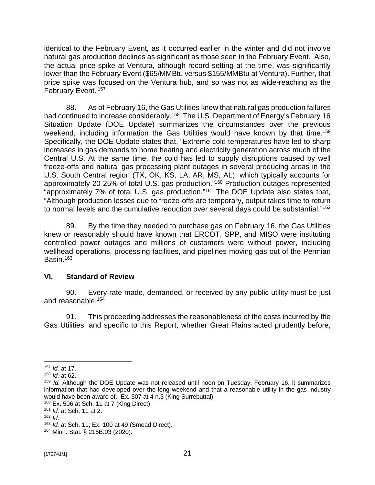identical to the February Event, as it occurred earlier in the winter and did not involve natural gas production declines as significant as those seen in the February Event. Also, the actual price spike at Ventura, although record setting at the time, was significantly lower than the February Event (\$65/MMBtu versus \$155/MMBtu at Ventura). Further, that price spike was focused on the Ventura hub, and so was not as wide-reaching as the February Event.<sup>157</sup>

88. As of February 16, the Gas Utilities knew that natural gas production failures had continued to increase considerably.<sup>158</sup> The U.S. Department of Energy's February 16 Situation Update (DOE Update) summarizes the circumstances over the previous weekend, including information the Gas Utilities would have known by that time.<sup>159</sup> Specifically, the DOE Update states that, "Extreme cold temperatures have led to sharp increases in gas demands to home heating and electricity generation across much of the Central U.S. At the same time, the cold has led to supply disruptions caused by well freeze-offs and natural gas processing plant outages in several producing areas in the U.S. South Central region (TX, OK, KS, LA, AR, MS, AL), which typically accounts for approximately 20-25% of total U.S. gas production." <sup>160</sup> Production outages represented "approximately 7% of total U.S. gas production."<sup>161</sup> The DOE Update also states that, "Although production losses due to freeze-offs are temporary, output takes time to return to normal levels and the cumulative reduction over several days could be substantial."<sup>162</sup>

89. By the time they needed to purchase gas on February 16, the Gas Utilities knew or reasonably should have known that ERCOT, SPP, and MISO were instituting controlled power outages and millions of customers were without power, including wellhead operations, processing facilities, and pipelines moving gas out of the Permian Basin.<sup>163</sup>

## **VI. Standard of Review**

90. Every rate made, demanded, or received by any public utility must be just and reasonable.<sup>164</sup>

91. This proceeding addresses the reasonableness of the costs incurred by the Gas Utilities, and specific to this Report, whether Great Plains acted prudently before,

<sup>157</sup> *Id.* at 17.

<sup>158</sup> *Id.* at 62.

<sup>159</sup> *Id.* Although the DOE Update was not released until noon on Tuesday, February 16, it summarizes information that had developed over the long weekend and that a reasonable utility in the gas industry would have been aware of. Ex. 507 at 4 n.3 (King Surrebuttal).

 $160$  Ex. 506 at Sch. 11 at 7 (King Direct).

<sup>161</sup> *Id.* at Sch. 11 at 2.

<sup>162</sup> *Id.*

<sup>163</sup> *Id.* at Sch. 11; Ex. 100 at 49 (Smead Direct).

<sup>164</sup> Minn. Stat. § 216B.03 (2020).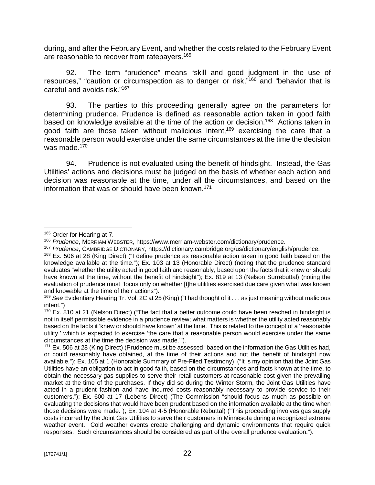during, and after the February Event, and whether the costs related to the February Event are reasonable to recover from ratepayers.<sup>165</sup>

92. The term "prudence" means "skill and good judgment in the use of resources," "caution or circumspection as to danger or risk,"<sup>166</sup> and "behavior that is careful and avoids risk." 167

93. The parties to this proceeding generally agree on the parameters for determining prudence. Prudence is defined as reasonable action taken in good faith based on knowledge available at the time of the action or decision.<sup>168</sup> Actions taken in good faith are those taken without malicious intent,<sup>169</sup> exercising the care that a reasonable person would exercise under the same circumstances at the time the decision was made.<sup>170</sup>

94. Prudence is not evaluated using the benefit of hindsight. Instead, the Gas Utilities' actions and decisions must be judged on the basis of whether each action and decision was reasonable at the time, under all the circumstances, and based on the information that was or should have been known.<sup>171</sup>

<sup>&</sup>lt;sup>165</sup> Order for Hearing at 7.

<sup>166</sup> *Prudence*, MERRIAM WEBSTER, <https://www.merriam-webster.com/dictionary/prudence.>

<sup>167</sup> *Prudence*, CAMBRIDGE DICTIONARY, <https://dictionary.cambridge.org/us/dictionary/english/prudence.>

<sup>&</sup>lt;sup>168</sup> Ex. 506 at 28 (King Direct) ("I define prudence as reasonable action taken in good faith based on the knowledge available at the time."); Ex. 103 at 13 (Honorable Direct) (noting that the prudence standard evaluates "whether the utility acted in good faith and reasonably, based upon the facts that it knew or should have known at the time, without the benefit of hindsight"); Ex. 819 at 13 (Nelson Surrebuttal) (noting the evaluation of prudence must "focus only on whether [t]he utilities exercised due care given what was known and knowable at the time of their actions").

<sup>169</sup> *See* Evidentiary Hearing Tr. Vol. 2C at 25 (King) ("I had thought of it . . . as just meaning without malicious intent.")

 $170$  Ex. 810 at 21 (Nelson Direct) ("The fact that a better outcome could have been reached in hindsight is not in itself permissible evidence in a prudence review; what matters is whether the utility acted reasonably based on the facts it 'knew or should have known' at the time. This is related to the concept of a 'reasonable utility,' which is expected to exercise 'the care that a reasonable person would exercise under the same circumstances at the time the decision was made.'").

 $171$  Ex. 506 at 28 (King Direct) (Prudence must be assessed "based on the information the Gas Utilities had, or could reasonably have obtained, at the time of their actions and not the benefit of hindsight now available."); Ex. 105 at 1 (Honorable Summary of Pre-Filed Testimony) ("It is my opinion that the Joint Gas Utilities have an obligation to act in good faith, based on the circumstances and facts known at the time, to obtain the necessary gas supplies to serve their retail customers at reasonable cost given the prevailing market at the time of the purchases. If they did so during the Winter Storm, the Joint Gas Utilities have acted in a prudent fashion and have incurred costs reasonably necessary to provide service to their customers."); Ex. 600 at 17 (Lebens Direct) (The Commission "should focus as much as possible on evaluating the decisions that would have been prudent based on the information available at the time when those decisions were made."); Ex. 104 at 4-5 (Honorable Rebuttal) ("This proceeding involves gas supply costs incurred by the Joint Gas Utilities to serve their customers in Minnesota during a recognized extreme weather event. Cold weather events create challenging and dynamic environments that require quick responses. Such circumstances should be considered as part of the overall prudence evaluation.").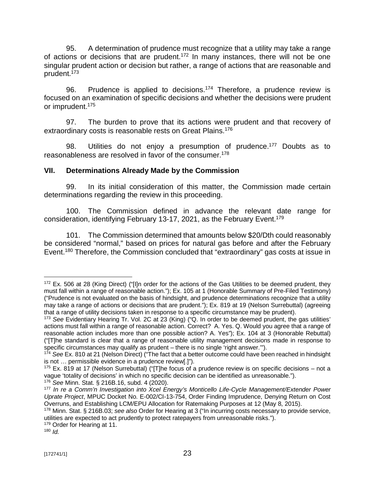95. A determination of prudence must recognize that a utility may take a range of actions or decisions that are prudent.<sup>172</sup> In many instances, there will not be one singular prudent action or decision but rather, a range of actions that are reasonable and prudent.<sup>173</sup>

96. Prudence is applied to decisions.<sup>174</sup> Therefore, a prudence review is focused on an examination of specific decisions and whether the decisions were prudent or imprudent.<sup>175</sup>

97. The burden to prove that its actions were prudent and that recovery of extraordinary costs is reasonable rests on Great Plains. 176

98. Utilities do not enjoy a presumption of prudence.<sup>177</sup> Doubts as to reasonableness are resolved in favor of the consumer.<sup>178</sup>

## **VII. Determinations Already Made by the Commission**

99. In its initial consideration of this matter, the Commission made certain determinations regarding the review in this proceeding.

100. The Commission defined in advance the relevant date range for consideration, identifying February 13-17, 2021, as the February Event.<sup>179</sup>

101. The Commission determined that amounts below \$20/Dth could reasonably be considered "normal," based on prices for natural gas before and after the February Event.<sup>180</sup> Therefore, the Commission concluded that "extraordinary" gas costs at issue in

179 Order for Hearing at 11.

<sup>&</sup>lt;sup>172</sup> Ex. 506 at 28 (King Direct) ("IIIn order for the actions of the Gas Utilities to be deemed prudent, they must fall within a range of reasonable action."); Ex. 105 at 1 (Honorable Summary of Pre-Filed Testimony) ("Prudence is not evaluated on the basis of hindsight, and prudence determinations recognize that a utility may take a range of actions or decisions that are prudent."); Ex. 819 at 19 (Nelson Surrebuttal) (agreeing that a range of utility decisions taken in response to a specific circumstance may be prudent).

<sup>173</sup> *See* Evidentiary Hearing Tr. Vol. 2C at 23 (King) ("Q. In order to be deemed prudent, the gas utilities' actions must fall within a range of reasonable action. Correct? A. Yes. Q. Would you agree that a range of reasonable action includes more than one possible action? A. Yes"); Ex. 104 at 3 (Honorable Rebuttal) ("[T]he standard is clear that a range of reasonable utility management decisions made in response to specific circumstances may qualify as prudent – there is no single 'right answer.'").

<sup>174</sup> *See* Ex. 810 at 21 (Nelson Direct) ("The fact that a better outcome could have been reached in hindsight is not … permissible evidence in a prudence review[.]").

 $175$  Ex. 819 at 17 (Nelson Surrebuttal) ("[T]he focus of a prudence review is on specific decisions – not a vague 'totality of decisions' in which no specific decision can be identified as unreasonable.").

<sup>176</sup> *See* Minn. Stat. § 216B.16, subd. 4 (2020).

<sup>177</sup> *In re a Comm'n Investigation into Xcel Energy's Monticello Life-Cycle Management/Extender Power Uprate Project*, MPUC Docket No. E-002/CI-13-754, Order Finding Imprudence, Denying Return on Cost Overruns, and Establishing LCM/EPU Allocation for Ratemaking Purposes at 12 (May 8, 2015).

<sup>178</sup> Minn. Stat. § 216B.03; *see also* Order for Hearing at 3 ("In incurring costs necessary to provide service, utilities are expected to act prudently to protect ratepayers from unreasonable risks.").

 $180$  *Id.*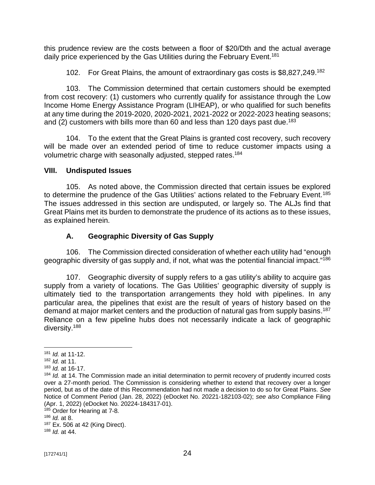this prudence review are the costs between a floor of \$20/Dth and the actual average daily price experienced by the Gas Utilities during the February Event.<sup>181</sup>

102. For Great Plains, the amount of extraordinary gas costs is \$8,827,249.<sup>182</sup>

103. The Commission determined that certain customers should be exempted from cost recovery: (1) customers who currently qualify for assistance through the Low Income Home Energy Assistance Program (LIHEAP), or who qualified for such benefits at any time during the 2019-2020, 2020-2021, 2021-2022 or 2022-2023 heating seasons; and (2) customers with bills more than 60 and less than 120 days past due.<sup>183</sup>

104. To the extent that the Great Plains is granted cost recovery, such recovery will be made over an extended period of time to reduce customer impacts using a volumetric charge with seasonally adjusted, stepped rates.<sup>184</sup>

## **VIII. Undisputed Issues**

105. As noted above, the Commission directed that certain issues be explored to determine the prudence of the Gas Utilities' actions related to the February Event.<sup>185</sup> The issues addressed in this section are undisputed, or largely so. The ALJs find that Great Plains met its burden to demonstrate the prudence of its actions as to these issues, as explained herein.

# **A. Geographic Diversity of Gas Supply**

106. The Commission directed consideration of whether each utility had "enough geographic diversity of gas supply and, if not, what was the potential financial impact."<sup>186</sup>

107. Geographic diversity of supply refers to a gas utility's ability to acquire gas supply from a variety of locations. The Gas Utilities' geographic diversity of supply is ultimately tied to the transportation arrangements they hold with pipelines. In any particular area, the pipelines that exist are the result of years of history based on the demand at major market centers and the production of natural gas from supply basins.<sup>187</sup> Reliance on a few pipeline hubs does not necessarily indicate a lack of geographic diversity.<sup>188</sup>

<sup>185</sup> Order for Hearing at 7-8.

<sup>188</sup> *Id.* at 44.

<sup>181</sup> *Id.* at 11-12.

<sup>182</sup> *Id.* at 11.

<sup>183</sup> *Id.* at 16-17.

<sup>184</sup> *Id.* at 14. The Commission made an initial determination to permit recovery of prudently incurred costs over a 27-month period. The Commission is considering whether to extend that recovery over a longer period, but as of the date of this Recommendation had not made a decision to do so for Great Plains. *See* Notice of Comment Period (Jan. 28, 2022) (eDocket No. 20221-182103-02); *see also* Compliance Filing (Apr. 1, 2022) (eDocket No. 20224-184317-01).

<sup>186</sup> *Id.* at 8.

<sup>187</sup> Ex. 506 at 42 (King Direct).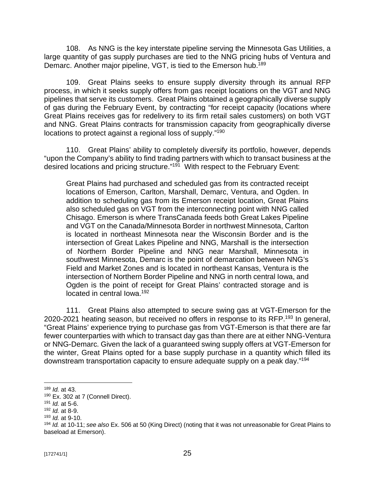108. As NNG is the key interstate pipeline serving the Minnesota Gas Utilities, a large quantity of gas supply purchases are tied to the NNG pricing hubs of Ventura and Demarc. Another major pipeline, VGT, is tied to the Emerson hub.<sup>189</sup>

109. Great Plains seeks to ensure supply diversity through its annual RFP process, in which it seeks supply offers from gas receipt locations on the VGT and NNG pipelines that serve its customers. Great Plains obtained a geographically diverse supply of gas during the February Event, by contracting "for receipt capacity (locations where Great Plains receives gas for redelivery to its firm retail sales customers) on both VGT and NNG. Great Plains contracts for transmission capacity from geographically diverse locations to protect against a regional loss of supply." 190

110. Great Plains' ability to completely diversify its portfolio, however, depends "upon the Company's ability to find trading partners with which to transact business at the desired locations and pricing structure."<sup>191</sup> With respect to the February Event:

Great Plains had purchased and scheduled gas from its contracted receipt locations of Emerson, Carlton, Marshall, Demarc, Ventura, and Ogden. In addition to scheduling gas from its Emerson receipt location, Great Plains also scheduled gas on VGT from the interconnecting point with NNG called Chisago. Emerson is where TransCanada feeds both Great Lakes Pipeline and VGT on the Canada/Minnesota Border in northwest Minnesota, Carlton is located in northeast Minnesota near the Wisconsin Border and is the intersection of Great Lakes Pipeline and NNG, Marshall is the intersection of Northern Border Pipeline and NNG near Marshall, Minnesota in southwest Minnesota, Demarc is the point of demarcation between NNG's Field and Market Zones and is located in northeast Kansas, Ventura is the intersection of Northern Border Pipeline and NNG in north central Iowa, and Ogden is the point of receipt for Great Plains' contracted storage and is located in central lowa.<sup>192</sup>

111. Great Plains also attempted to secure swing gas at VGT-Emerson for the 2020-2021 heating season, but received no offers in response to its RFP.<sup>193</sup> In general, "Great Plains' experience trying to purchase gas from VGT-Emerson is that there are far fewer counterparties with which to transact day gas than there are at either NNG-Ventura or NNG-Demarc. Given the lack of a guaranteed swing supply offers at VGT-Emerson for the winter, Great Plains opted for a base supply purchase in a quantity which filled its downstream transportation capacity to ensure adequate supply on a peak day." 194

<sup>189</sup> *Id.* at 43.

<sup>190</sup> Ex. 302 at 7 (Connell Direct).

<sup>191</sup> *Id.* at 5-6.

<sup>192</sup> *Id.* at 8-9.

<sup>193</sup> *Id.* at 9-10.

<sup>194</sup> *Id.* at 10-11; *see also* Ex. 506 at 50 (King Direct) (noting that it was not unreasonable for Great Plains to baseload at Emerson).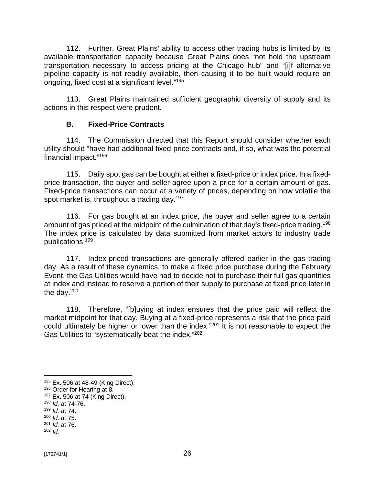112. Further, Great Plains' ability to access other trading hubs is limited by its available transportation capacity because Great Plains does "not hold the upstream transportation necessary to access pricing at the Chicago hub" and "[i]f alternative pipeline capacity is not readily available, then causing it to be built would require an ongoing, fixed cost at a significant level."<sup>195</sup>

113. Great Plains maintained sufficient geographic diversity of supply and its actions in this respect were prudent.

### **B. Fixed-Price Contracts**

114. The Commission directed that this Report should consider whether each utility should "have had additional fixed-price contracts and, if so, what was the potential financial impact." 196

115. Daily spot gas can be bought at either a fixed-price or index price. In a fixedprice transaction, the buyer and seller agree upon a price for a certain amount of gas. Fixed-price transactions can occur at a variety of prices, depending on how volatile the spot market is, throughout a trading day.<sup>197</sup>

116. For gas bought at an index price, the buyer and seller agree to a certain amount of gas priced at the midpoint of the culmination of that day's fixed-price trading.<sup>198</sup> The index price is calculated by data submitted from market actors to industry trade publications.<sup>199</sup>

117. Index-priced transactions are generally offered earlier in the gas trading day. As a result of these dynamics, to make a fixed price purchase during the February Event, the Gas Utilities would have had to decide not to purchase their full gas quantities at index and instead to reserve a portion of their supply to purchase at fixed price later in the day.<sup>200</sup>

118. Therefore, "[b]uying at index ensures that the price paid will reflect the market midpoint for that day. Buying at a fixed-price represents a risk that the price paid could ultimately be higher or lower than the index." <sup>201</sup> It is not reasonable to expect the Gas Utilities to "systematically beat the index."<sup>202</sup>

<sup>195</sup> Ex. 506 at 48-49 (King Direct).

<sup>196</sup> Order for Hearing at 8.

 $197$  Ex. 506 at 74 (King Direct).

<sup>198</sup> *Id.* at 74-76.

<sup>199</sup> *Id.* at 74.

<sup>200</sup> *Id.* at 75.

<sup>201</sup> *Id.* at 76.

<sup>202</sup> *Id.*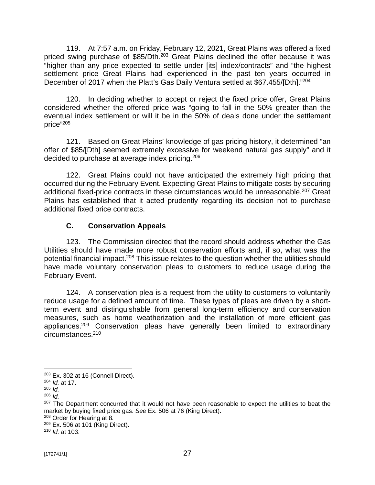119. At 7:57 a.m. on Friday, February 12, 2021, Great Plains was offered a fixed priced swing purchase of \$85/Dth.<sup>203</sup> Great Plains declined the offer because it was "higher than any price expected to settle under [its] index/contracts" and "the highest settlement price Great Plains had experienced in the past ten years occurred in December of 2017 when the Platt's Gas Daily Ventura settled at \$67.455/[Dth]."<sup>204</sup>

120. In deciding whether to accept or reject the fixed price offer, Great Plains considered whether the offered price was "going to fall in the 50% greater than the eventual index settlement or will it be in the 50% of deals done under the settlement price" 205

121. Based on Great Plains' knowledge of gas pricing history, it determined "an offer of \$85/[Dth] seemed extremely excessive for weekend natural gas supply" and it decided to purchase at average index pricing.<sup>206</sup>

122. Great Plains could not have anticipated the extremely high pricing that occurred during the February Event. Expecting Great Plains to mitigate costs by securing additional fixed-price contracts in these circumstances would be unreasonable. <sup>207</sup> Great Plains has established that it acted prudently regarding its decision not to purchase additional fixed price contracts.

## **C. Conservation Appeals**

123. The Commission directed that the record should address whether the Gas Utilities should have made more robust conservation efforts and, if so, what was the potential financial impact.<sup>208</sup> This issue relates to the question whether the utilities should have made voluntary conservation pleas to customers to reduce usage during the February Event.

124. A conservation plea is a request from the utility to customers to voluntarily reduce usage for a defined amount of time. These types of pleas are driven by a shortterm event and distinguishable from general long-term efficiency and conservation measures, such as home weatherization and the installation of more efficient gas appliances.<sup>209</sup> Conservation pleas have generally been limited to extraordinary circumstances.<sup>210</sup>

 $203$  Ex. 302 at 16 (Connell Direct).

<sup>204</sup> *Id.* at 17.

<sup>205</sup> *Id.* 

<sup>206</sup> *Id.*

<sup>&</sup>lt;sup>207</sup> The Department concurred that it would not have been reasonable to expect the utilities to beat the market by buying fixed price gas. *See* Ex. 506 at 76 (King Direct).

<sup>208</sup> Order for Hearing at 8.

<sup>209</sup> Ex. 506 at 101 (King Direct).

<sup>210</sup> *Id.* at 103.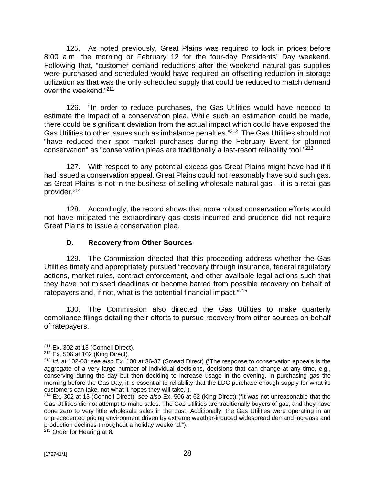125. As noted previously, Great Plains was required to lock in prices before 8:00 a.m. the morning or February 12 for the four-day Presidents' Day weekend. Following that, "customer demand reductions after the weekend natural gas supplies were purchased and scheduled would have required an offsetting reduction in storage utilization as that was the only scheduled supply that could be reduced to match demand over the weekend." 211

126. "In order to reduce purchases, the Gas Utilities would have needed to estimate the impact of a conservation plea. While such an estimation could be made, there could be significant deviation from the actual impact which could have exposed the Gas Utilities to other issues such as imbalance penalties."<sup>212</sup> The Gas Utilities should not "have reduced their spot market purchases during the February Event for planned conservation" as "conservation pleas are traditionally a last-resort reliability tool."<sup>213</sup>

127. With respect to any potential excess gas Great Plains might have had if it had issued a conservation appeal, Great Plains could not reasonably have sold such gas, as Great Plains is not in the business of selling wholesale natural gas – it is a retail gas provider.<sup>214</sup>

128. Accordingly, the record shows that more robust conservation efforts would not have mitigated the extraordinary gas costs incurred and prudence did not require Great Plains to issue a conservation plea.

### **D. Recovery from Other Sources**

129. The Commission directed that this proceeding address whether the Gas Utilities timely and appropriately pursued "recovery through insurance, federal regulatory actions, market rules, contract enforcement, and other available legal actions such that they have not missed deadlines or become barred from possible recovery on behalf of ratepayers and, if not, what is the potential financial impact."<sup>215</sup>

130. The Commission also directed the Gas Utilities to make quarterly compliance filings detailing their efforts to pursue recovery from other sources on behalf of ratepayers.

<sup>215</sup> Order for Hearing at 8.

 $211$  Ex. 302 at 13 (Connell Direct).

 $212$  Ex. 506 at 102 (King Direct).

<sup>213</sup> *Id.* at 102-03; *see also* Ex. 100 at 36-37 (Smead Direct) ("The response to conservation appeals is the aggregate of a very large number of individual decisions, decisions that can change at any time, e.g., conserving during the day but then deciding to increase usage in the evening. In purchasing gas the morning before the Gas Day, it is essential to reliability that the LDC purchase enough supply for what its customers can take, not what it hopes they will take.").

<sup>214</sup> Ex. 302 at 13 (Connell Direct); *see also* Ex. 506 at 62 (King Direct) ("It was not unreasonable that the Gas Utilities did not attempt to make sales. The Gas Utilities are traditionally buyers of gas, and they have done zero to very little wholesale sales in the past. Additionally, the Gas Utilities were operating in an unprecedented pricing environment driven by extreme weather-induced widespread demand increase and production declines throughout a holiday weekend.").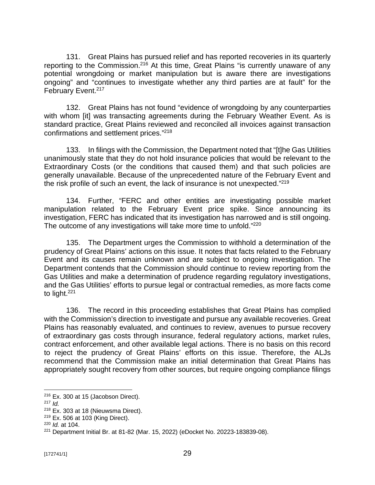131. Great Plains has pursued relief and has reported recoveries in its quarterly reporting to the Commission.<sup>216</sup> At this time, Great Plains "is currently unaware of any potential wrongdoing or market manipulation but is aware there are investigations ongoing" and "continues to investigate whether any third parties are at fault" for the February Event.<sup>217</sup>

132. Great Plains has not found "evidence of wrongdoing by any counterparties with whom [it] was transacting agreements during the February Weather Event. As is standard practice, Great Plains reviewed and reconciled all invoices against transaction confirmations and settlement prices." 218

133. In filings with the Commission, the Department noted that "[t]he Gas Utilities unanimously state that they do not hold insurance policies that would be relevant to the Extraordinary Costs (or the conditions that caused them) and that such policies are generally unavailable. Because of the unprecedented nature of the February Event and the risk profile of such an event, the lack of insurance is not unexpected." 219

134. Further, "FERC and other entities are investigating possible market manipulation related to the February Event price spike. Since announcing its investigation, FERC has indicated that its investigation has narrowed and is still ongoing. The outcome of any investigations will take more time to unfold."<sup>220</sup>

135. The Department urges the Commission to withhold a determination of the prudency of Great Plains' actions on this issue. It notes that facts related to the February Event and its causes remain unknown and are subject to ongoing investigation. The Department contends that the Commission should continue to review reporting from the Gas Utilities and make a determination of prudence regarding regulatory investigations, and the Gas Utilities' efforts to pursue legal or contractual remedies, as more facts come to light.<sup>221</sup>

136. The record in this proceeding establishes that Great Plains has complied with the Commission's direction to investigate and pursue any available recoveries. Great Plains has reasonably evaluated, and continues to review, avenues to pursue recovery of extraordinary gas costs through insurance, federal regulatory actions, market rules, contract enforcement, and other available legal actions. There is no basis on this record to reject the prudency of Great Plains' efforts on this issue. Therefore, the ALJs recommend that the Commission make an initial determination that Great Plains has appropriately sought recovery from other sources, but require ongoing compliance filings

 $216$  Ex. 300 at 15 (Jacobson Direct).

<sup>217</sup> *Id.*

<sup>218</sup> Ex. 303 at 18 (Nieuwsma Direct).

<sup>219</sup> Ex. 506 at 103 (King Direct).

<sup>220</sup> *Id.* at 104.

<sup>221</sup> Department Initial Br. at 81-82 (Mar. 15, 2022) (eDocket No. 20223-183839-08).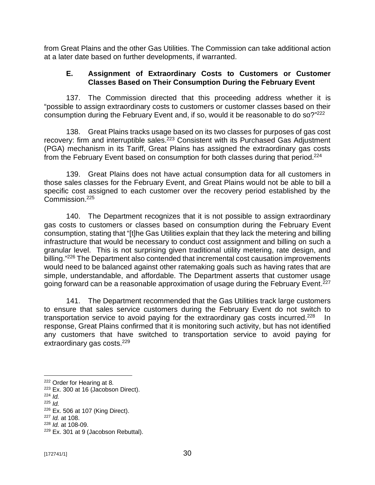from Great Plains and the other Gas Utilities. The Commission can take additional action at a later date based on further developments, if warranted.

### **E. Assignment of Extraordinary Costs to Customers or Customer Classes Based on Their Consumption During the February Event**

137. The Commission directed that this proceeding address whether it is "possible to assign extraordinary costs to customers or customer classes based on their consumption during the February Event and, if so, would it be reasonable to do so?"<sup>222</sup>

138. Great Plains tracks usage based on its two classes for purposes of gas cost recovery: firm and interruptible sales.<sup>223</sup> Consistent with its Purchased Gas Adjustment (PGA) mechanism in its Tariff, Great Plains has assigned the extraordinary gas costs from the February Event based on consumption for both classes during that period.<sup>224</sup>

139. Great Plains does not have actual consumption data for all customers in those sales classes for the February Event, and Great Plains would not be able to bill a specific cost assigned to each customer over the recovery period established by the Commission.<sup>225</sup>

140. The Department recognizes that it is not possible to assign extraordinary gas costs to customers or classes based on consumption during the February Event consumption, stating that "[t]he Gas Utilities explain that they lack the metering and billing infrastructure that would be necessary to conduct cost assignment and billing on such a granular level. This is not surprising given traditional utility metering, rate design, and billing."<sup>226</sup> The Department also contended that incremental cost causation improvements would need to be balanced against other ratemaking goals such as having rates that are simple, understandable, and affordable. The Department asserts that customer usage going forward can be a reasonable approximation of usage during the February Event.<sup>227</sup>

141. The Department recommended that the Gas Utilities track large customers to ensure that sales service customers during the February Event do not switch to transportation service to avoid paying for the extraordinary gas costs incurred.<sup>228</sup> In response, Great Plains confirmed that it is monitoring such activity, but has not identified any customers that have switched to transportation service to avoid paying for extraordinary gas costs.<sup>229</sup>

<sup>222</sup> Order for Hearing at 8.

<sup>&</sup>lt;sup>223</sup> Ex. 300 at 16 (Jacobson Direct).

 $224$  *Id.* 

<sup>225</sup> *Id.*

<sup>226</sup> Ex. 506 at 107 (King Direct).

<sup>227</sup> *Id.* at 108.

<sup>228</sup> *Id.* at 108-09.

<sup>229</sup> Ex. 301 at 9 (Jacobson Rebuttal).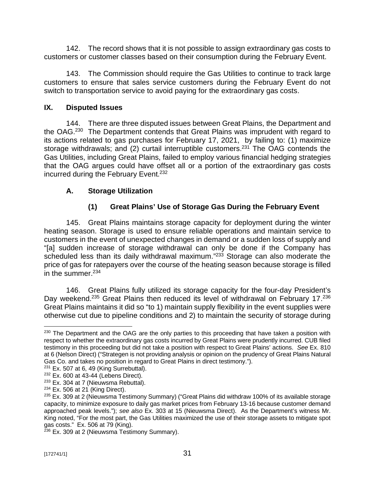142. The record shows that it is not possible to assign extraordinary gas costs to customers or customer classes based on their consumption during the February Event.

143. The Commission should require the Gas Utilities to continue to track large customers to ensure that sales service customers during the February Event do not switch to transportation service to avoid paying for the extraordinary gas costs.

## **IX. Disputed Issues**

144. There are three disputed issues between Great Plains, the Department and the OAG.<sup>230</sup> The Department contends that Great Plains was imprudent with regard to its actions related to gas purchases for February 17, 2021, by failing to: (1) maximize storage withdrawals; and (2) curtail interruptible customers.<sup>231</sup> The OAG contends the Gas Utilities, including Great Plains, failed to employ various financial hedging strategies that the OAG argues could have offset all or a portion of the extraordinary gas costs incurred during the February Event. 232

# **A. Storage Utilization**

# **(1) Great Plains' Use of Storage Gas During the February Event**

145. Great Plains maintains storage capacity for deployment during the winter heating season. Storage is used to ensure reliable operations and maintain service to customers in the event of unexpected changes in demand or a sudden loss of supply and "[a] sudden increase of storage withdrawal can only be done if the Company has scheduled less than its daily withdrawal maximum."<sup>233</sup> Storage can also moderate the price of gas for ratepayers over the course of the heating season because storage is filled in the summer.<sup>234</sup>

146. Great Plains fully utilized its storage capacity for the four-day President's Day weekend.<sup>235</sup> Great Plains then reduced its level of withdrawal on February 17.<sup>236</sup> Great Plains maintains it did so "to 1) maintain supply flexibility in the event supplies were otherwise cut due to pipeline conditions and 2) to maintain the security of storage during

<sup>&</sup>lt;sup>230</sup> The Department and the OAG are the only parties to this proceeding that have taken a position with respect to whether the extraordinary gas costs incurred by Great Plains were prudently incurred. CUB filed testimony in this proceeding but did not take a position with respect to Great Plains' actions. *See* Ex. 810 at 6 (Nelson Direct) ("Strategen is not providing analysis or opinion on the prudency of Great Plains Natural Gas Co. and takes no position in regard to Great Plains in direct testimony.").

 $231$  Ex. 507 at 6, 49 (King Surrebuttal).

 $232$  Ex. 600 at 43-44 (Lebens Direct).

<sup>&</sup>lt;sup>233</sup> Ex. 304 at 7 (Nieuwsma Rebuttal).

 $234$  Ex. 506 at 21 (King Direct).

<sup>&</sup>lt;sup>235</sup> Ex. 309 at 2 (Nieuwsma Testimony Summary) ("Great Plains did withdraw 100% of its available storage capacity, to minimize exposure to daily gas market prices from February 13-16 because customer demand approached peak levels."); *see also* Ex. 303 at 15 (Nieuwsma Direct). As the Department's witness Mr. King noted, "For the most part, the Gas Utilities maximized the use of their storage assets to mitigate spot gas costs." Ex. 506 at 79 (King).

<sup>&</sup>lt;sup>236</sup> Ex. 309 at 2 (Nieuwsma Testimony Summary).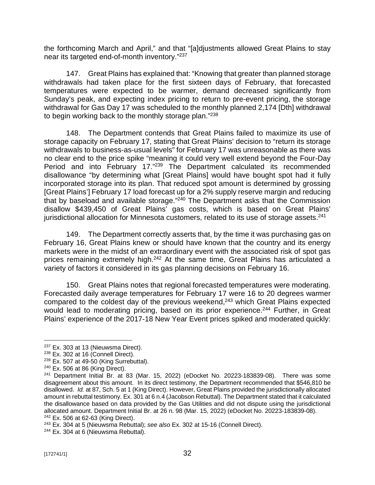the forthcoming March and April," and that "[a]djustments allowed Great Plains to stay near its targeted end-of-month inventory."<sup>237</sup>

147. Great Plains has explained that: "Knowing that greater than planned storage withdrawals had taken place for the first sixteen days of February, that forecasted temperatures were expected to be warmer, demand decreased significantly from Sunday's peak, and expecting index pricing to return to pre-event pricing, the storage withdrawal for Gas Day 17 was scheduled to the monthly planned 2,174 [Dth] withdrawal to begin working back to the monthly storage plan." 238

148. The Department contends that Great Plains failed to maximize its use of storage capacity on February 17, stating that Great Plains' decision to "return its storage withdrawals to business-as-usual levels" for February 17 was unreasonable as there was no clear end to the price spike "meaning it could very well extend beyond the Four-Day Period and into February 17."<sup>239</sup> The Department calculated its recommended disallowance "by determining what [Great Plains] would have bought spot had it fully incorporated storage into its plan. That reduced spot amount is determined by grossing [Great Plains'] February 17 load forecast up for a 2% supply reserve margin and reducing that by baseload and available storage."<sup>240</sup> The Department asks that the Commission disallow \$439,450 of Great Plains' gas costs, which is based on Great Plains' jurisdictional allocation for Minnesota customers, related to its use of storage assets.<sup>241</sup>

149. The Department correctly asserts that, by the time it was purchasing gas on February 16, Great Plains knew or should have known that the country and its energy markets were in the midst of an extraordinary event with the associated risk of spot gas prices remaining extremely high.<sup>242</sup> At the same time, Great Plains has articulated a variety of factors it considered in its gas planning decisions on February 16.

150. Great Plains notes that regional forecasted temperatures were moderating. Forecasted daily average temperatures for February 17 were 16 to 20 degrees warmer compared to the coldest day of the previous weekend,<sup>243</sup> which Great Plains expected would lead to moderating pricing, based on its prior experience.<sup>244</sup> Further, in Great Plains' experience of the 2017-18 New Year Event prices spiked and moderated quickly:

<sup>243</sup> Ex. 304 at 5 (Nieuwsma Rebuttal); *see also* Ex. 302 at 15-16 (Connell Direct).

<sup>&</sup>lt;sup>237</sup> Ex. 303 at 13 (Nieuwsma Direct).

 $238$  Ex. 302 at 16 (Connell Direct).

 $239$  Ex. 507 at 49-50 (King Surrebuttal).

 $240$  Ex. 506 at 86 (King Direct).

 $241$  Department Initial Br. at 83 (Mar. 15, 2022) (eDocket No. 20223-183839-08). There was some disagreement about this amount. In its direct testimony, the Department recommended that \$546,810 be disallowed. *Id.* at 87, Sch. 5 at 1 (King Direct). However, Great Plains provided the jurisdictionally allocated amount in rebuttal testimony. Ex. 301 at 6 n.4 (Jacobson Rebuttal). The Department stated that it calculated the disallowance based on data provided by the Gas Utilities and did not dispute using the jurisdictional allocated amount. Department Initial Br. at 26 n. 98 (Mar. 15, 2022) (eDocket No. 20223-183839-08). <sup>242</sup> Ex. 506 at 62-63 (King Direct).

<sup>&</sup>lt;sup>244</sup> Ex. 304 at 6 (Nieuwsma Rebuttal).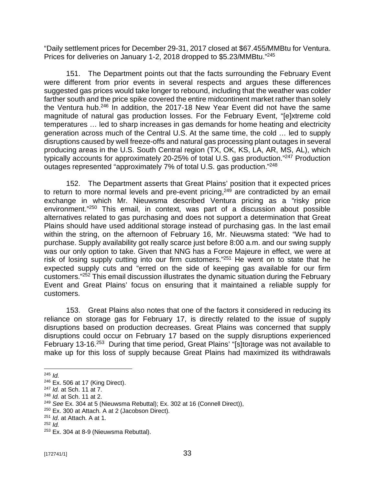"Daily settlement prices for December 29-31, 2017 closed at \$67.455/MMBtu for Ventura. Prices for deliveries on January 1-2, 2018 dropped to \$5.23/MMBtu."<sup>245</sup>

151. The Department points out that the facts surrounding the February Event were different from prior events in several respects and argues these differences suggested gas prices would take longer to rebound, including that the weather was colder farther south and the price spike covered the entire midcontinent market rather than solely the Ventura hub.<sup>246</sup> In addition, the 2017-18 New Year Event did not have the same magnitude of natural gas production losses. For the February Event, "[e]xtreme cold temperatures … led to sharp increases in gas demands for home heating and electricity generation across much of the Central U.S. At the same time, the cold … led to supply disruptions caused by well freeze-offs and natural gas processing plant outages in several producing areas in the U.S. South Central region (TX, OK, KS, LA, AR, MS, AL), which typically accounts for approximately 20-25% of total U.S. gas production."<sup>247</sup> Production outages represented "approximately 7% of total U.S. gas production."<sup>248</sup>

152. The Department asserts that Great Plains' position that it expected prices to return to more normal levels and pre-event pricing,<sup>249</sup> are contradicted by an email exchange in which Mr. Nieuwsma described Ventura pricing as a "risky price environment." <sup>250</sup> This email, in context, was part of a discussion about possible alternatives related to gas purchasing and does not support a determination that Great Plains should have used additional storage instead of purchasing gas. In the last email within the string, on the afternoon of February 16, Mr. Nieuwsma stated: "We had to purchase. Supply availability got really scarce just before 8:00 a.m. and our swing supply was our only option to take. Given that NNG has a Force Majeure in effect, we were at risk of losing supply cutting into our firm customers."<sup>251</sup> He went on to state that he expected supply cuts and "erred on the side of keeping gas available for our firm customers." <sup>252</sup> This email discussion illustrates the dynamic situation during the February Event and Great Plains' focus on ensuring that it maintained a reliable supply for customers.

153. Great Plains also notes that one of the factors it considered in reducing its reliance on storage gas for February 17, is directly related to the issue of supply disruptions based on production decreases. Great Plains was concerned that supply disruptions could occur on February 17 based on the supply disruptions experienced February 13-16.<sup>253</sup> During that time period, Great Plains' "[s]torage was not available to make up for this loss of supply because Great Plains had maximized its withdrawals

 $245$  *Id.* 

<sup>246</sup> Ex. 506 at 17 (King Direct).

<sup>247</sup> *Id.* at Sch. 11 at 7.

<sup>248</sup> *Id.* at Sch. 11 at 2.

<sup>249</sup> *See* Ex. 304 at 5 (Nieuwsma Rebuttal); Ex. 302 at 16 (Connell Direct)),

<sup>250</sup> Ex. 300 at Attach. A at 2 (Jacobson Direct).

<sup>251</sup> *Id*. at Attach. A at 1.

<sup>252</sup> *Id.*

<sup>253</sup> Ex. 304 at 8-9 (Nieuwsma Rebuttal).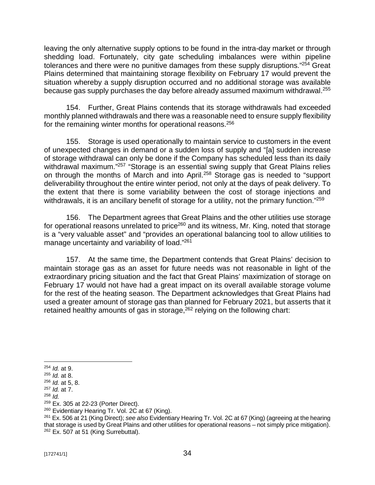leaving the only alternative supply options to be found in the intra-day market or through shedding load. Fortunately, city gate scheduling imbalances were within pipeline tolerances and there were no punitive damages from these supply disruptions."<sup>254</sup> Great Plains determined that maintaining storage flexibility on February 17 would prevent the situation whereby a supply disruption occurred and no additional storage was available because gas supply purchases the day before already assumed maximum withdrawal. $^{255}$ 

154. Further, Great Plains contends that its storage withdrawals had exceeded monthly planned withdrawals and there was a reasonable need to ensure supply flexibility for the remaining winter months for operational reasons.<sup>256</sup>

155. Storage is used operationally to maintain service to customers in the event of unexpected changes in demand or a sudden loss of supply and "[a] sudden increase of storage withdrawal can only be done if the Company has scheduled less than its daily withdrawal maximum."<sup>257</sup> "Storage is an essential swing supply that Great Plains relies on through the months of March and into April.<sup>258</sup> Storage gas is needed to "support deliverability throughout the entire winter period, not only at the days of peak delivery. To the extent that there is some variability between the cost of storage injections and withdrawals, it is an ancillary benefit of storage for a utility, not the primary function."<sup>259</sup>

156. The Department agrees that Great Plains and the other utilities use storage for operational reasons unrelated to price<sup>260</sup> and its witness, Mr. King, noted that storage is a "very valuable asset" and "provides an operational balancing tool to allow utilities to manage uncertainty and variability of load."<sup>261</sup>

157. At the same time, the Department contends that Great Plains' decision to maintain storage gas as an asset for future needs was not reasonable in light of the extraordinary pricing situation and the fact that Great Plains' maximization of storage on February 17 would not have had a great impact on its overall available storage volume for the rest of the heating season. The Department acknowledges that Great Plains had used a greater amount of storage gas than planned for February 2021, but asserts that it retained healthy amounts of gas in storage,  $262$  relying on the following chart:

<sup>254</sup> *Id.* at 9.

<sup>255</sup> *Id.* at 8.

<sup>256</sup> *Id.* at 5, 8.

<sup>257</sup> *Id.* at 7.

<sup>258</sup> *Id.*

 $259$  Ex. 305 at 22-23 (Porter Direct).

<sup>&</sup>lt;sup>260</sup> Evidentiary Hearing Tr. Vol. 2C at 67 (King).

<sup>261</sup> Ex. 506 at 21 (King Direct); *see also* Evidentiary Hearing Tr. Vol. 2C at 67 (King) (agreeing at the hearing that storage is used by Great Plains and other utilities for operational reasons – not simply price mitigation).  $262$  Ex. 507 at 51 (King Surrebuttal).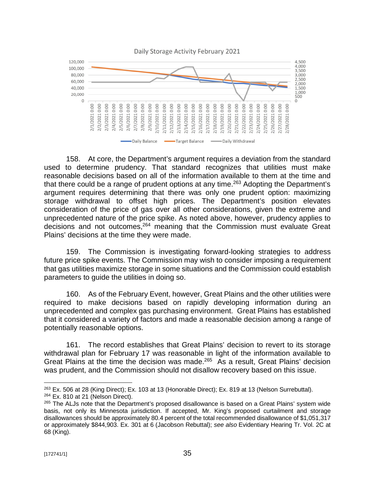

158. At core, the Department's argument requires a deviation from the standard used to determine prudency. That standard recognizes that utilities must make reasonable decisions based on all of the information available to them at the time and that there could be a range of prudent options at any time.<sup>263</sup> Adopting the Department's argument requires determining that there was only one prudent option: maximizing storage withdrawal to offset high prices. The Department's position elevates consideration of the price of gas over all other considerations, given the extreme and unprecedented nature of the price spike. As noted above, however, prudency applies to decisions and not outcomes,<sup>264</sup> meaning that the Commission must evaluate Great Plains' decisions at the time they were made.

159. The Commission is investigating forward-looking strategies to address future price spike events. The Commission may wish to consider imposing a requirement that gas utilities maximize storage in some situations and the Commission could establish parameters to guide the utilities in doing so.

160. As of the February Event, however, Great Plains and the other utilities were required to make decisions based on rapidly developing information during an unprecedented and complex gas purchasing environment. Great Plains has established that it considered a variety of factors and made a reasonable decision among a range of potentially reasonable options.

161. The record establishes that Great Plains' decision to revert to its storage withdrawal plan for February 17 was reasonable in light of the information available to Great Plains at the time the decision was made.<sup>265</sup> As a result, Great Plains' decision was prudent, and the Commission should not disallow recovery based on this issue.

<sup>&</sup>lt;sup>263</sup> Ex. 506 at 28 (King Direct); Ex. 103 at 13 (Honorable Direct); Ex. 819 at 13 (Nelson Surrebuttal).  $264$  Ex. 810 at 21 (Nelson Direct).

<sup>&</sup>lt;sup>265</sup> The ALJs note that the Department's proposed disallowance is based on a Great Plains' system wide basis, not only its Minnesota jurisdiction. If accepted, Mr. King's proposed curtailment and storage disallowances should be approximately 80.4 percent of the total recommended disallowance of \$1,051,317 or approximately \$844,903. Ex. 301 at 6 (Jacobson Rebuttal); *see also* Evidentiary Hearing Tr. Vol. 2C at 68 (King).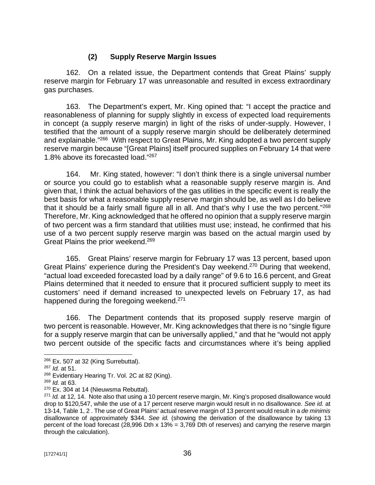## **(2) Supply Reserve Margin Issues**

162. On a related issue, the Department contends that Great Plains' supply reserve margin for February 17 was unreasonable and resulted in excess extraordinary gas purchases.

163. The Department's expert, Mr. King opined that: "I accept the practice and reasonableness of planning for supply slightly in excess of expected load requirements in concept (a supply reserve margin) in light of the risks of under-supply. However, I testified that the amount of a supply reserve margin should be deliberately determined and explainable."<sup>266</sup> With respect to Great Plains, Mr. King adopted a two percent supply reserve margin because "[Great Plains] itself procured supplies on February 14 that were 1.8% above its forecasted load." 267

164. Mr. King stated, however: "I don't think there is a single universal number or source you could go to establish what a reasonable supply reserve margin is. And given that, I think the actual behaviors of the gas utilities in the specific event is really the best basis for what a reasonable supply reserve margin should be, as well as I do believe that it should be a fairly small figure all in all. And that's why I use the two percent."<sup>268</sup> Therefore, Mr. King acknowledged that he offered no opinion that a supply reserve margin of two percent was a firm standard that utilities must use; instead, he confirmed that his use of a two percent supply reserve margin was based on the actual margin used by Great Plains the prior weekend.<sup>269</sup>

165. Great Plains' reserve margin for February 17 was 13 percent, based upon Great Plains' experience during the President's Day weekend.<sup>270</sup> During that weekend, "actual load exceeded forecasted load by a daily range" of 9.6 to 16.6 percent, and Great Plains determined that it needed to ensure that it procured sufficient supply to meet its customers' need if demand increased to unexpected levels on February 17, as had happened during the foregoing weekend.<sup>271</sup>

166. The Department contends that its proposed supply reserve margin of two percent is reasonable. However, Mr. King acknowledges that there is no "single figure for a supply reserve margin that can be universally applied," and that he "would not apply two percent outside of the specific facts and circumstances where it's being applied

 $266$  Ex. 507 at 32 (King Surrebuttal).

<sup>267</sup> *Id.* at 51.

<sup>&</sup>lt;sup>268</sup> Evidentiary Hearing Tr. Vol. 2C at 82 (King).

<sup>269</sup> *Id.* at 63.

<sup>270</sup> Ex. 304 at 14 (Nieuwsma Rebuttal).

<sup>271</sup> *Id.* at 12, 14. Note also that using a 10 percent reserve margin, Mr. King's proposed disallowance would drop to \$120,547, while the use of a 17 percent reserve margin would result in no disallowance. *See id.* at 13-14, Table 1, 2 . The use of Great Plains' actual reserve margin of 13 percent would result in a *de minimis*  disallowance of approximately \$344. *See id.* (showing the derivation of the disallowance by taking 13 percent of the load forecast (28,996 Dth x 13% = 3,769 Dth of reserves) and carrying the reserve margin through the calculation).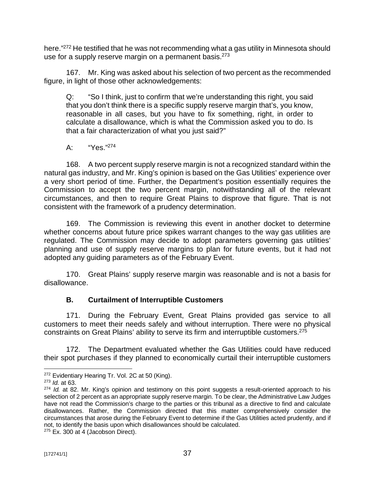here." <sup>272</sup> He testified that he was not recommending what a gas utility in Minnesota should use for a supply reserve margin on a permanent basis.<sup>273</sup>

167. Mr. King was asked about his selection of two percent as the recommended figure, in light of those other acknowledgements:

Q: "So I think, just to confirm that we're understanding this right, you said that you don't think there is a specific supply reserve margin that's, you know, reasonable in all cases, but you have to fix something, right, in order to calculate a disallowance, which is what the Commission asked you to do. Is that a fair characterization of what you just said?"

# A: "Yes."<sup>274</sup>

168. A two percent supply reserve margin is not a recognized standard within the natural gas industry, and Mr. King's opinion is based on the Gas Utilities' experience over a very short period of time. Further, the Department's position essentially requires the Commission to accept the two percent margin, notwithstanding all of the relevant circumstances, and then to require Great Plains to disprove that figure. That is not consistent with the framework of a prudency determination.

169. The Commission is reviewing this event in another docket to determine whether concerns about future price spikes warrant changes to the way gas utilities are regulated. The Commission may decide to adopt parameters governing gas utilities' planning and use of supply reserve margins to plan for future events, but it had not adopted any guiding parameters as of the February Event.

170. Great Plains' supply reserve margin was reasonable and is not a basis for disallowance.

# **B. Curtailment of Interruptible Customers**

171. During the February Event, Great Plains provided gas service to all customers to meet their needs safely and without interruption. There were no physical constraints on Great Plains' ability to serve its firm and interruptible customers.<sup>275</sup>

172. The Department evaluated whether the Gas Utilities could have reduced their spot purchases if they planned to economically curtail their interruptible customers

 $275$  Ex. 300 at 4 (Jacobson Direct).

<sup>&</sup>lt;sup>272</sup> Evidentiary Hearing Tr. Vol. 2C at 50 (King).

<sup>273</sup> *Id.* at 63.

<sup>274</sup> *Id.* at 82. Mr. King's opinion and testimony on this point suggests a result-oriented approach to his selection of 2 percent as an appropriate supply reserve margin. To be clear, the Administrative Law Judges have not read the Commission's charge to the parties or this tribunal as a directive to find and calculate disallowances. Rather, the Commission directed that this matter comprehensively consider the circumstances that arose during the February Event to determine if the Gas Utilities acted prudently, and if not, to identify the basis upon which disallowances should be calculated.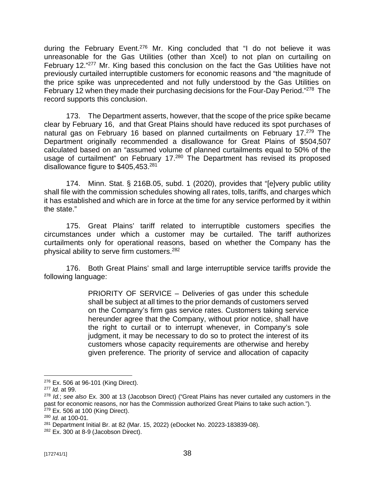during the February Event.<sup>276</sup> Mr. King concluded that "I do not believe it was unreasonable for the Gas Utilities (other than Xcel) to not plan on curtailing on February 12."<sup>277</sup> Mr. King based this conclusion on the fact the Gas Utilities have not previously curtailed interruptible customers for economic reasons and "the magnitude of the price spike was unprecedented and not fully understood by the Gas Utilities on February 12 when they made their purchasing decisions for the Four-Day Period."<sup>278</sup> The record supports this conclusion.

173. The Department asserts, however, that the scope of the price spike became clear by February 16, and that Great Plains should have reduced its spot purchases of natural gas on February 16 based on planned curtailments on February 17.<sup>279</sup> The Department originally recommended a disallowance for Great Plains of \$504,507 calculated based on an "assumed volume of planned curtailments equal to 50% of the usage of curtailment" on February 17.<sup>280</sup> The Department has revised its proposed disallowance figure to \$405,453.281

174. Minn. Stat. § 216B.05, subd. 1 (2020), provides that "[e]very public utility shall file with the commission schedules showing all rates, tolls, tariffs, and charges which it has established and which are in force at the time for any service performed by it within the state."

175. Great Plains' tariff related to interruptible customers specifies the circumstances under which a customer may be curtailed. The tariff authorizes curtailments only for operational reasons, based on whether the Company has the physical ability to serve firm customers.<sup>282</sup>

176. Both Great Plains' small and large interruptible service tariffs provide the following language:

> PRIORITY OF SERVICE – Deliveries of gas under this schedule shall be subject at all times to the prior demands of customers served on the Company's firm gas service rates. Customers taking service hereunder agree that the Company, without prior notice, shall have the right to curtail or to interrupt whenever, in Company's sole judgment, it may be necessary to do so to protect the interest of its customers whose capacity requirements are otherwise and hereby given preference. The priority of service and allocation of capacity

<sup>276</sup> Ex. 506 at 96-101 (King Direct).

<sup>277</sup> *Id.* at 99.

<sup>278</sup> *Id.*; *see also* Ex. 300 at 13 (Jacobson Direct) ("Great Plains has never curtailed any customers in the past for economic reasons, nor has the Commission authorized Great Plains to take such action."). <sup>279</sup> Ex. 506 at 100 (King Direct).

<sup>280</sup> *Id.* at 100-01.

<sup>281</sup> Department Initial Br. at 82 (Mar. 15, 2022) (eDocket No. 20223-183839-08).

 $282$  Ex. 300 at 8-9 (Jacobson Direct).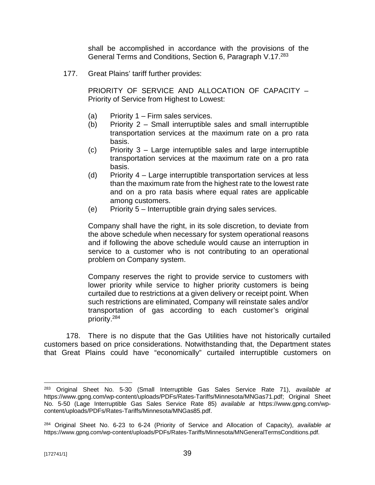shall be accomplished in accordance with the provisions of the General Terms and Conditions, Section 6, Paragraph V.17.<sup>283</sup>

177. Great Plains' tariff further provides:

PRIORITY OF SERVICE AND ALLOCATION OF CAPACITY – Priority of Service from Highest to Lowest:

- (a) Priority 1 Firm sales services.
- (b) Priority 2 Small interruptible sales and small interruptible transportation services at the maximum rate on a pro rata basis.
- (c) Priority 3 Large interruptible sales and large interruptible transportation services at the maximum rate on a pro rata basis.
- (d) Priority 4 Large interruptible transportation services at less than the maximum rate from the highest rate to the lowest rate and on a pro rata basis where equal rates are applicable among customers.
- (e) Priority 5 Interruptible grain drying sales services.

Company shall have the right, in its sole discretion, to deviate from the above schedule when necessary for system operational reasons and if following the above schedule would cause an interruption in service to a customer who is not contributing to an operational problem on Company system.

Company reserves the right to provide service to customers with lower priority while service to higher priority customers is being curtailed due to restrictions at a given delivery or receipt point. When such restrictions are eliminated, Company will reinstate sales and/or transportation of gas according to each customer's original priority.<sup>284</sup>

178. There is no dispute that the Gas Utilities have not historically curtailed customers based on price considerations. Notwithstanding that, the Department states that Great Plains could have "economically" curtailed interruptible customers on

<sup>283</sup> Original Sheet No. 5-30 (Small Interruptible Gas Sales Service Rate 71), *available at*  <https://www.gpng.com/wp-content/uploads/PDFs/Rates-Tariffs/Minnesota/MNGas71.pdf;>Original Sheet No. 5-50 (Lage Interruptible Gas Sales Service Rate 85) *available at* [https://www.gpng.com/wp](https://www.gpng.com/wp-)content/uploads/PDFs/Rates-Tariffs/Minnesota/MNGas85.pdf.

<sup>284</sup> Original Sheet No. 6-23 to 6-24 (Priority of Service and Allocation of Capacity), *available at*  <https://www.gpng.com/wp-content/uploads/PDFs/Rates-Tariffs/Minnesota/MNGeneralTermsConditions.pdf.>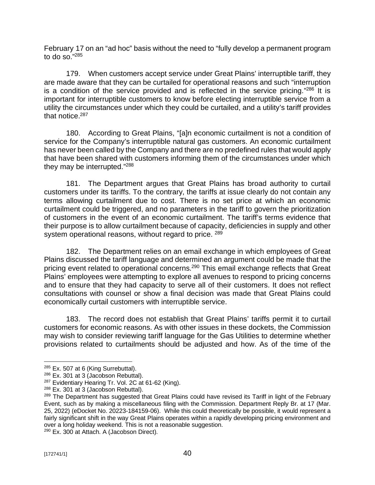February 17 on an "ad hoc" basis without the need to "fully develop a permanent program to do so." 285

179. When customers accept service under Great Plains' interruptible tariff, they are made aware that they can be curtailed for operational reasons and such "interruption is a condition of the service provided and is reflected in the service pricing."<sup>286</sup> It is important for interruptible customers to know before electing interruptible service from a utility the circumstances under which they could be curtailed, and a utility's tariff provides that notice.<sup>287</sup>

180. According to Great Plains, "[a]n economic curtailment is not a condition of service for the Company's interruptible natural gas customers. An economic curtailment has never been called by the Company and there are no predefined rules that would apply that have been shared with customers informing them of the circumstances under which they may be interrupted."<sup>288</sup>

181. The Department argues that Great Plains has broad authority to curtail customers under its tariffs. To the contrary, the tariffs at issue clearly do not contain any terms allowing curtailment due to cost. There is no set price at which an economic curtailment could be triggered, and no parameters in the tariff to govern the prioritization of customers in the event of an economic curtailment. The tariff's terms evidence that their purpose is to allow curtailment because of capacity, deficiencies in supply and other system operational reasons, without regard to price. 289

182. The Department relies on an email exchange in which employees of Great Plains discussed the tariff language and determined an argument could be made that the pricing event related to operational concerns.<sup>290</sup> This email exchange reflects that Great Plains' employees were attempting to explore all avenues to respond to pricing concerns and to ensure that they had capacity to serve all of their customers. It does not reflect consultations with counsel or show a final decision was made that Great Plains could economically curtail customers with interruptible service.

183. The record does not establish that Great Plains' tariffs permit it to curtail customers for economic reasons. As with other issues in these dockets, the Commission may wish to consider reviewing tariff language for the Gas Utilities to determine whether provisions related to curtailments should be adjusted and how. As of the time of the

<sup>290</sup> Ex. 300 at Attach. A (Jacobson Direct).

 $285$  Ex. 507 at 6 (King Surrebuttal).

<sup>&</sup>lt;sup>286</sup> Ex. 301 at 3 (Jacobson Rebuttal).

<sup>&</sup>lt;sup>287</sup> Evidentiary Hearing Tr. Vol. 2C at 61-62 (King).

<sup>288</sup> Ex. 301 at 3 (Jacobson Rebuttal).

<sup>&</sup>lt;sup>289</sup> The Department has suggested that Great Plains could have revised its Tariff in light of the February Event, such as by making a miscellaneous filing with the Commission. Department Reply Br. at 17 (Mar. 25, 2022) (eDocket No. 20223-184159-06). While this could theoretically be possible, it would represent a fairly significant shift in the way Great Plains operates within a rapidly developing pricing environment and over a long holiday weekend. This is not a reasonable suggestion.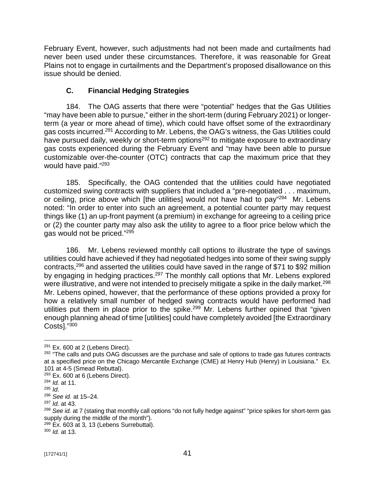February Event, however, such adjustments had not been made and curtailments had never been used under these circumstances. Therefore, it was reasonable for Great Plains not to engage in curtailments and the Department's proposed disallowance on this issue should be denied.

# **C. Financial Hedging Strategies**

184. The OAG asserts that there were "potential" hedges that the Gas Utilities "may have been able to pursue," either in the short-term (during February 2021) or longerterm (a year or more ahead of time), which could have offset some of the extraordinary gas costs incurred. <sup>291</sup> According to Mr. Lebens, the OAG's witness, the Gas Utilities could have pursued daily, weekly or short-term options<sup>292</sup> to mitigate exposure to extraordinary gas costs experienced during the February Event and "may have been able to pursue customizable over-the-counter (OTC) contracts that cap the maximum price that they would have paid."<sup>293</sup>

185. Specifically, the OAG contended that the utilities could have negotiated customized swing contracts with suppliers that included a "pre-negotiated . . . maximum, or ceiling, price above which [the utilities] would not have had to pay"<sup>294</sup> Mr. Lebens noted: "In order to enter into such an agreement, a potential counter party may request things like (1) an up-front payment (a premium) in exchange for agreeing to a ceiling price or (2) the counter party may also ask the utility to agree to a floor price below which the gas would not be priced." 295

186. Mr. Lebens reviewed monthly call options to illustrate the type of savings utilities could have achieved if they had negotiated hedges into some of their swing supply contracts,<sup>296</sup> and asserted the utilities could have saved in the range of \$71 to \$92 million by engaging in hedging practices.<sup>297</sup> The monthly call options that Mr. Lebens explored were illustrative, and were not intended to precisely mitigate a spike in the daily market. $^{298}$ Mr. Lebens opined, however, that the performance of these options provided a proxy for how a relatively small number of hedged swing contracts would have performed had utilities put them in place prior to the spike.<sup>299</sup> Mr. Lebens further opined that "given enough planning ahead of time [utilities] could have completely avoided [the Extraordinary Costs]." 300

<sup>300</sup> *Id.* at 13.

 $291$  Ex. 600 at 2 (Lebens Direct).

<sup>&</sup>lt;sup>292</sup> "The calls and puts OAG discusses are the purchase and sale of options to trade gas futures contracts at a specified price on the Chicago Mercantile Exchange (CME) at Henry Hub (Henry) in Louisiana." Ex. 101 at 4-5 (Smead Rebuttal).

 $293$  Ex. 600 at 6 (Lebens Direct).

<sup>294</sup> *Id.* at 11.

<sup>295</sup> *Id*.

<sup>296</sup> *See id.* at 15–24.

<sup>297</sup> *Id.* at 43.

<sup>298</sup> *See id.* at 7 (stating that monthly call options "do not fully hedge against" "price spikes for short-term gas supply during the middle of the month").

 $299$  Ex. 603 at 3, 13 (Lebens Surrebuttal).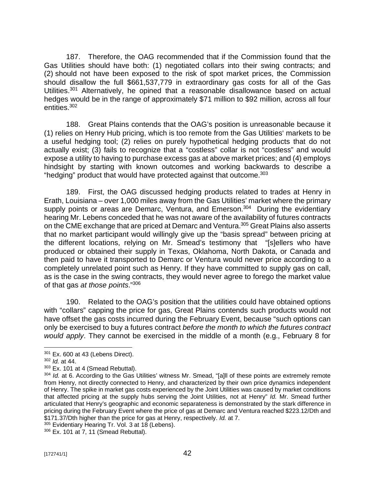187. Therefore, the OAG recommended that if the Commission found that the Gas Utilities should have both: (1) negotiated collars into their swing contracts; and (2) should not have been exposed to the risk of spot market prices, the Commission should disallow the full \$661,537,779 in extraordinary gas costs for all of the Gas Utilities.<sup>301</sup> Alternatively, he opined that a reasonable disallowance based on actual hedges would be in the range of approximately \$71 million to \$92 million, across all four entities.<sup>302</sup>

188. Great Plains contends that the OAG's position is unreasonable because it (1) relies on Henry Hub pricing, which is too remote from the Gas Utilities' markets to be a useful hedging tool; (2) relies on purely hypothetical hedging products that do not actually exist; (3) fails to recognize that a "costless" collar is not "costless" and would expose a utility to having to purchase excess gas at above market prices; and (4) employs hindsight by starting with known outcomes and working backwards to describe a "hedging" product that would have protected against that outcome.<sup>303</sup>

189. First, the OAG discussed hedging products related to trades at Henry in Erath, Louisiana – over 1,000 miles away from the Gas Utilities' market where the primary supply points or areas are Demarc, Ventura, and Emerson.<sup>304</sup> During the evidentiary hearing Mr. Lebens conceded that he was not aware of the availability of futures contracts on the CME exchange that are priced at Demarc and Ventura.<sup>305</sup> Great Plains also asserts that no market participant would willingly give up the "basis spread" between pricing at the different locations, relying on Mr. Smead's testimony that "[s]ellers who have produced or obtained their supply in Texas, Oklahoma, North Dakota, or Canada and then paid to have it transported to Demarc or Ventura would never price according to a completely unrelated point such as Henry. If they have committed to supply gas on call, as is the case in the swing contracts, they would never agree to forego the market value of that gas *at those points*." 306

190. Related to the OAG's position that the utilities could have obtained options with "collars" capping the price for gas, Great Plains contends such products would not have offset the gas costs incurred during the February Event, because "such options can only be exercised to buy a futures contract *before the month to which the futures contract would apply*. They cannot be exercised in the middle of a month (e.g., February 8 for

 $301$  Ex. 600 at 43 (Lebens Direct).

<sup>302</sup> *Id.* at 44.

 $303$  Ex. 101 at 4 (Smead Rebuttal).

<sup>304</sup> *Id.* at 6. According to the Gas Utilities' witness Mr. Smead, "[a]ll of these points are extremely remote from Henry, not directly connected to Henry, and characterized by their own price dynamics independent of Henry. The spike in market gas costs experienced by the Joint Utilities was caused by market conditions that affected pricing at the supply hubs serving the Joint Utilities, not at Henry" *Id.* Mr. Smead further articulated that Henry's geographic and economic separateness is demonstrated by the stark difference in pricing during the February Event where the price of gas at Demarc and Ventura reached \$223.12/Dth and \$171.37/Dth higher than the price for gas at Henry, respectively. *Id.* at 7.

<sup>&</sup>lt;sup>305</sup> Evidentiary Hearing Tr. Vol. 3 at 18 (Lebens).

<sup>306</sup> Ex. 101 at 7, 11 (Smead Rebuttal).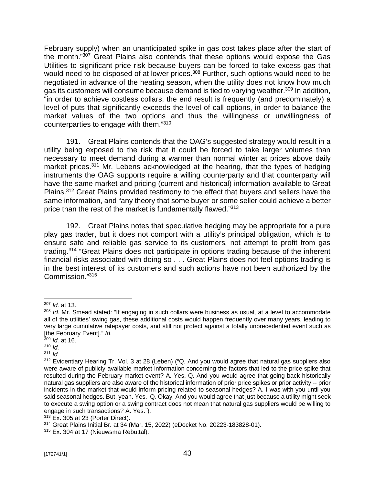February supply) when an unanticipated spike in gas cost takes place after the start of the month." <sup>307</sup> Great Plains also contends that these options would expose the Gas Utilities to significant price risk because buyers can be forced to take excess gas that would need to be disposed of at lower prices.<sup>308</sup> Further, such options would need to be negotiated in advance of the heating season, when the utility does not know how much gas its customers will consume because demand is tied to varying weather.<sup>309</sup> In addition, "in order to achieve costless collars, the end result is frequently (and predominately) a level of puts that significantly exceeds the level of call options, in order to balance the market values of the two options and thus the willingness or unwillingness of counterparties to engage with them."<sup>310</sup>

191. Great Plains contends that the OAG's suggested strategy would result in a utility being exposed to the risk that it could be forced to take larger volumes than necessary to meet demand during a warmer than normal winter at prices above daily market prices.<sup>311</sup> Mr. Lebens acknowledged at the hearing, that the types of hedging instruments the OAG supports require a willing counterparty and that counterparty will have the same market and pricing (current and historical) information available to Great Plains.<sup>312</sup> Great Plains provided testimony to the effect that buyers and sellers have the same information, and "any theory that some buyer or some seller could achieve a better price than the rest of the market is fundamentally flawed."<sup>313</sup>

192. Great Plains notes that speculative hedging may be appropriate for a pure play gas trader, but it does not comport with a utility's principal obligation, which is to ensure safe and reliable gas service to its customers, not attempt to profit from gas trading.<sup>314</sup> "Great Plains does not participate in options trading because of the inherent financial risks associated with doing so . . . Great Plains does not feel options trading is in the best interest of its customers and such actions have not been authorized by the Commission." 315

<sup>307</sup> *Id.* at 13.

<sup>308</sup> *Id.* Mr. Smead stated: "If engaging in such collars were business as usual, at a level to accommodate all of the utilities' swing gas, these additional costs would happen frequently over many years, leading to very large cumulative ratepayer costs, and still not protect against a totally unprecedented event such as [the February Event]." *Id.*

<sup>309</sup> *Id.* at 16.

<sup>310</sup> *Id.*

<sup>311</sup> *Id.*

<sup>&</sup>lt;sup>312</sup> Evidentiary Hearing Tr. Vol. 3 at 28 (Leben) ("Q. And you would agree that natural gas suppliers also were aware of publicly available market information concerning the factors that led to the price spike that resulted during the February market event? A. Yes. Q. And you would agree that going back historically natural gas suppliers are also aware of the historical information of prior price spikes or prior activity -- prior incidents in the market that would inform pricing related to seasonal hedges? A. I was with you until you said seasonal hedges. But, yeah. Yes. Q. Okay. And you would agree that just because a utility might seek to execute a swing option or a swing contract does not mean that natural gas suppliers would be willing to engage in such transactions? A. Yes.").

<sup>313</sup> Ex. 305 at 23 (Porter Direct).

<sup>314</sup> Great Plains Initial Br. at 34 (Mar. 15, 2022) (eDocket No. 20223-183828-01).

<sup>&</sup>lt;sup>315</sup> Ex. 304 at 17 (Nieuwsma Rebuttal).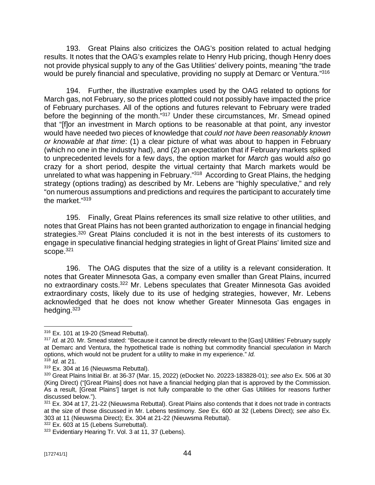193. Great Plains also criticizes the OAG's position related to actual hedging results. It notes that the OAG's examples relate to Henry Hub pricing, though Henry does not provide physical supply to any of the Gas Utilities' delivery points, meaning "the trade would be purely financial and speculative, providing no supply at Demarc or Ventura." 316

194. Further, the illustrative examples used by the OAG related to options for March gas, not February, so the prices plotted could not possibly have impacted the price of February purchases. All of the options and futures relevant to February were traded before the beginning of the month."<sup>317</sup> Under these circumstances, Mr. Smead opined that "[f]or an investment in March options to be reasonable at that point, any investor would have needed two pieces of knowledge that *could not have been reasonably known or knowable at that time*: (1) a clear picture of what was about to happen in February (which no one in the industry had), and (2) an expectation that if February markets spiked to unprecedented levels for a few days, the option market for *March* gas would *also* go crazy for a short period, despite the virtual certainty that March markets would be unrelated to what was happening in February."<sup>318</sup> According to Great Plains, the hedging strategy (options trading) as described by Mr. Lebens are "highly speculative," and rely "on numerous assumptions and predictions and requires the participant to accurately time the market." 319

195. Finally, Great Plains references its small size relative to other utilities, and notes that Great Plains has not been granted authorization to engage in financial hedging strategies.<sup>320</sup> Great Plains concluded it is not in the best interests of its customers to engage in speculative financial hedging strategies in light of Great Plains' limited size and scope.<sup>321</sup>

196. The OAG disputes that the size of a utility is a relevant consideration. It notes that Greater Minnesota Gas, a company even smaller than Great Plains, incurred no extraordinary costs.<sup>322</sup> Mr. Lebens speculates that Greater Minnesota Gas avoided extraordinary costs, likely due to its use of hedging strategies, however, Mr. Lebens acknowledged that he does not know whether Greater Minnesota Gas engages in hedging.<sup>323</sup>

<sup>318</sup> *Id.* at 21.

<sup>316</sup> Ex. 101 at 19-20 (Smead Rebuttal).

<sup>&</sup>lt;sup>317</sup> *Id.* at 20. Mr. Smead stated: "Because it cannot be directly relevant to the [Gas] Utilities' February supply at Demarc and Ventura, the hypothetical trade is nothing but commodity financial *speculation* in March options, which would not be prudent for a utility to make in my experience." *Id.*

<sup>&</sup>lt;sup>319</sup> Ex. 304 at 16 (Nieuwsma Rebuttal).

<sup>320</sup> Great Plains Initial Br. at 36-37 (Mar. 15, 2022) (eDocket No. 20223-183828-01); *see also* Ex. 506 at 30 (King Direct) ("[Great Plains] does not have a financial hedging plan that is approved by the Commission. As a result, [Great Plains'] target is not fully comparable to the other Gas Utilities for reasons further discussed below.").

<sup>321</sup> Ex. 304 at 17, 21-22 (Nieuwsma Rebuttal). Great Plains also contends that it does not trade in contracts at the size of those discussed in Mr. Lebens testimony. *See* Ex. 600 at 32 (Lebens Direct); *see also* Ex. 303 at 11 (Nieuwsma Direct); Ex. 304 at 21-22 (Nieuwsma Rebuttal).

<sup>322</sup> Ex. 603 at 15 (Lebens Surrebuttal).

<sup>&</sup>lt;sup>323</sup> Evidentiary Hearing Tr. Vol. 3 at 11, 37 (Lebens).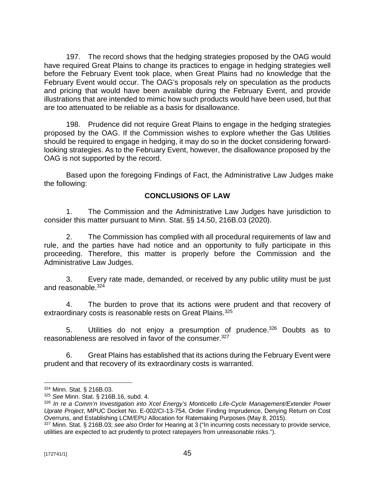197. The record shows that the hedging strategies proposed by the OAG would have required Great Plains to change its practices to engage in hedging strategies well before the February Event took place, when Great Plains had no knowledge that the February Event would occur. The OAG's proposals rely on speculation as the products and pricing that would have been available during the February Event, and provide illustrations that are intended to mimic how such products would have been used, but that are too attenuated to be reliable as a basis for disallowance.

198. Prudence did not require Great Plains to engage in the hedging strategies proposed by the OAG. If the Commission wishes to explore whether the Gas Utilities should be required to engage in hedging, it may do so in the docket considering forwardlooking strategies. As to the February Event, however, the disallowance proposed by the OAG is not supported by the record.

Based upon the foregoing Findings of Fact, the Administrative Law Judges make the following:

## **CONCLUSIONS OF LAW**

1. The Commission and the Administrative Law Judges have jurisdiction to consider this matter pursuant to Minn. Stat. §§ 14.50, 216B.03 (2020).

2. The Commission has complied with all procedural requirements of law and rule, and the parties have had notice and an opportunity to fully participate in this proceeding. Therefore, this matter is properly before the Commission and the Administrative Law Judges.

3. Every rate made, demanded, or received by any public utility must be just and reasonable.<sup>324</sup>

4. The burden to prove that its actions were prudent and that recovery of extraordinary costs is reasonable rests on Great Plains.<sup>325</sup>

5. Utilities do not enjoy a presumption of prudence.<sup>326</sup> Doubts as to reasonableness are resolved in favor of the consumer. 327

6. Great Plains has established that its actions during the February Event were prudent and that recovery of its extraordinary costs is warranted.

<sup>324</sup> Minn. Stat. § 216B.03.

<sup>325</sup> *See* Minn. Stat. § 216B.16, subd. 4.

<sup>326</sup> *In re a Comm'n Investigation into Xcel Energy's Monticello Life-Cycle Management/Extender Power Uprate Project*, MPUC Docket No. E-002/CI-13-754, Order Finding Imprudence, Denying Return on Cost Overruns, and Establishing LCM/EPU Allocation for Ratemaking Purposes (May 8, 2015).

<sup>327</sup> Minn. Stat. § 216B.03; *see also* Order for Hearing at 3 ("In incurring costs necessary to provide service, utilities are expected to act prudently to protect ratepayers from unreasonable risks.").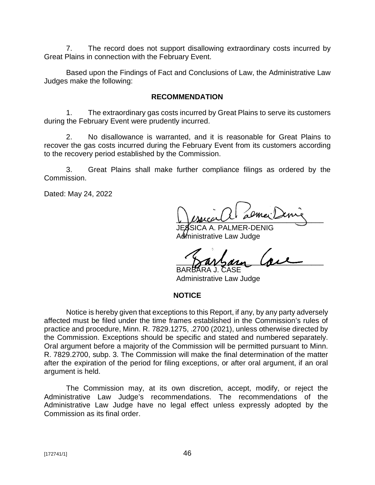7. The record does not support disallowing extraordinary costs incurred by Great Plains in connection with the February Event.

Based upon the Findings of Fact and Conclusions of Law, the Administrative Law Judges make the following:

### **RECOMMENDATION**

1. The extraordinary gas costs incurred by Great Plains to serve its customers during the February Event were prudently incurred.

2. No disallowance is warranted, and it is reasonable for Great Plains to recover the gas costs incurred during the February Event from its customers according to the recovery period established by the Commission.

3. Great Plains shall make further compliance filings as ordered by the Commission.

Dated: May 24, 2022

 $U$  psecurity as maximized

A A. PALMER-DENIG Administrative Law Judge

\_\_\_\_\_\_\_\_\_\_\_\_\_\_\_\_\_\_\_\_\_\_\_\_\_\_\_\_\_\_\_\_\_\_\_\_ BARBARA J. CASE

Administrative Law Judge

#### **NOTICE**

Notice is hereby given that exceptions to this Report, if any, by any party adversely affected must be filed under the time frames established in the Commission's rules of practice and procedure, Minn. R. 7829.1275, .2700 (2021), unless otherwise directed by the Commission. Exceptions should be specific and stated and numbered separately. Oral argument before a majority of the Commission will be permitted pursuant to Minn. R. 7829.2700, subp. 3. The Commission will make the final determination of the matter after the expiration of the period for filing exceptions, or after oral argument, if an oral argument is held.

The Commission may, at its own discretion, accept, modify, or reject the Administrative Law Judge's recommendations. The recommendations of the Administrative Law Judge have no legal effect unless expressly adopted by the Commission as its final order.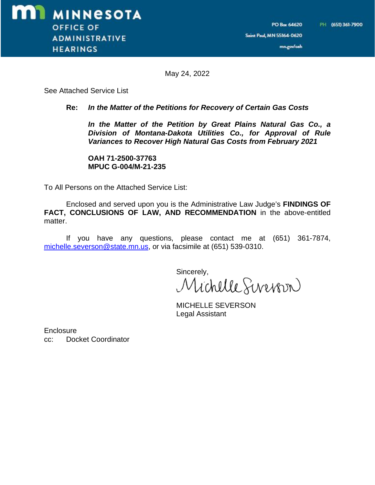mn.gov/oah

May 24, 2022

See Attached Service List

#### **Re:** *In the Matter of the Petitions for Recovery of Certain Gas Costs*

*In the Matter of the Petition by Great Plains Natural Gas Co., a Division of Montana-Dakota Utilities Co., for Approval of Rule Variances to Recover High Natural Gas Costs from February 2021*

**OAH 71-2500-37763 MPUC G-004/M-21-235**

To All Persons on the Attached Service List:

Enclosed and served upon you is the Administrative Law Judge's **FINDINGS OF FACT, CONCLUSIONS OF LAW, AND RECOMMENDATION** in the above-entitled matter.

If you have any questions, please contact me at (651) 361-7874, [michelle.severson@state.mn.us,](mailto:michelle.severson@state.mn.us,) or via facsimile at (651) 539-0310.

Sincerely, Michelle Siverpon

MICHELLE SEVERSON Legal Assistant

**Enclosure** cc: Docket Coordinator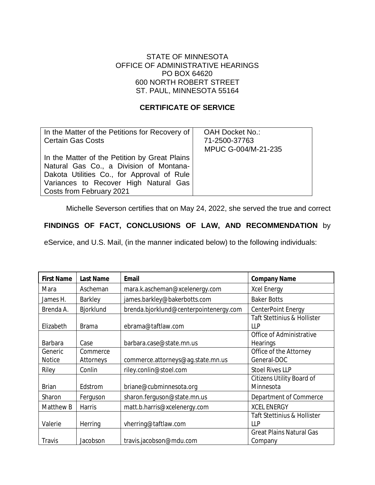### STATE OF MINNESOTA OFFICE OF ADMINISTRATIVE HEARINGS PO BOX 64620 600 NORTH ROBERT STREET ST. PAUL, MINNESOTA 55164

### **CERTIFICATE OF SERVICE**

| In the Matter of the Petitions for Recovery of<br><b>Certain Gas Costs</b>                                                                                                                                  | <b>OAH Docket No.:</b><br>71-2500-37763<br>MPUC G-004/M-21-235 |
|-------------------------------------------------------------------------------------------------------------------------------------------------------------------------------------------------------------|----------------------------------------------------------------|
| In the Matter of the Petition by Great Plains<br>Natural Gas Co., a Division of Montana-<br>Dakota Utilities Co., for Approval of Rule<br>Variances to Recover High Natural Gas<br>Costs from February 2021 |                                                                |

Michelle Severson certifies that on May 24, 2022, she served the true and correct

### **FINDINGS OF FACT, CONCLUSIONS OF LAW, AND RECOMMENDATION** by

eService, and U.S. Mail, (in the manner indicated below) to the following individuals:

| <b>First Name</b>        | <b>Last Name</b>      | <b>Email</b>                           | <b>Company Name</b>                           |
|--------------------------|-----------------------|----------------------------------------|-----------------------------------------------|
| Mara                     | Ascheman              | mara.k.ascheman@xcelenergy.com         | <b>Xcel Energy</b>                            |
| James H.                 | Barkley               | james.barkley@bakerbotts.com           | <b>Baker Botts</b>                            |
| Brenda A.                | Bjorklund             | brenda.bjorklund@centerpointenergy.com | CenterPoint Energy                            |
| Elizabeth                | <b>Brama</b>          | ebrama@taftlaw.com                     | <b>Taft Stettinius &amp; Hollister</b><br>LLP |
| <b>Barbara</b>           | Case                  | barbara.case@state.mn.us               | Office of Administrative<br><b>Hearings</b>   |
| Generic<br><b>Notice</b> | Commerce<br>Attorneys | commerce.attorneys@ag.state.mn.us      | Office of the Attorney<br>General-DOC         |
| Riley                    | Conlin                | riley.conlin@stoel.com                 | <b>Stoel Rives LLP</b>                        |
| <b>Brian</b>             | Edstrom               | briane@cubminnesota.org                | <b>Citizens Utility Board of</b><br>Minnesota |
| Sharon                   | Ferguson              | sharon.ferguson@state.mn.us            | Department of Commerce                        |
| Matthew B                | <b>Harris</b>         | matt.b.harris@xcelenergy.com           | <b>XCEL ENERGY</b>                            |
| Valerie                  | Herring               | vherring@taftlaw.com                   | <b>Taft Stettinius &amp; Hollister</b><br>LLP |
| <b>Travis</b>            | Jacobson              | travis.jacobson@mdu.com                | <b>Great Plains Natural Gas</b><br>Company    |